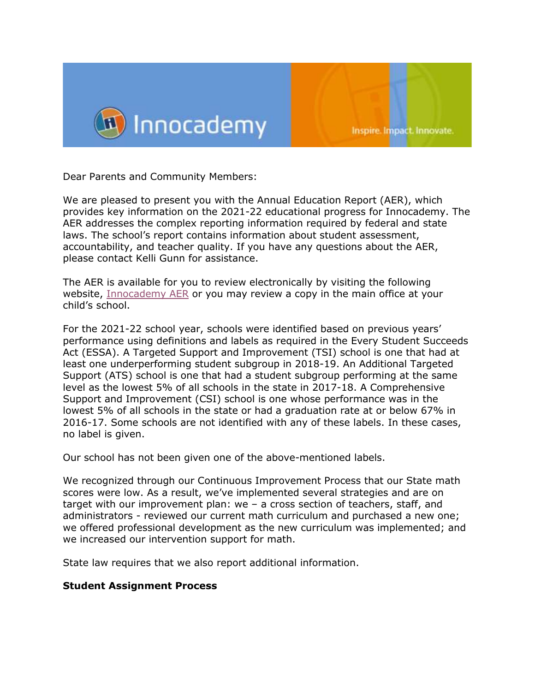

Dear Parents and Community Members:

We are pleased to present you with the Annual Education Report (AER), which provides key information on the 2021-22 educational progress for Innocademy. The AER addresses the complex reporting information required by federal and state laws. The school's report contains information about student assessment, accountability, and teacher quality. If you have any questions about the AER, please contact Kelli Gunn for assistance.

The AER is available for you to review electronically by visiting the following website, [Innocademy AER](https://bit.ly/3kdMet4) or you may review a copy in the main office at your child's school.

For the 2021-22 school year, schools were identified based on previous years' performance using definitions and labels as required in the Every Student Succeeds Act (ESSA). A Targeted Support and Improvement (TSI) school is one that had at least one underperforming student subgroup in 2018-19. An Additional Targeted Support (ATS) school is one that had a student subgroup performing at the same level as the lowest 5% of all schools in the state in 2017-18. A Comprehensive Support and Improvement (CSI) school is one whose performance was in the lowest 5% of all schools in the state or had a graduation rate at or below 67% in 2016-17. Some schools are not identified with any of these labels. In these cases, no label is given.

Our school has not been given one of the above-mentioned labels.

We recognized through our Continuous Improvement Process that our State math scores were low. As a result, we've implemented several strategies and are on target with our improvement plan: we – a cross section of teachers, staff, and administrators - reviewed our current math curriculum and purchased a new one; we offered professional development as the new curriculum was implemented; and we increased our intervention support for math.

State law requires that we also report additional information.

#### **Student Assignment Process**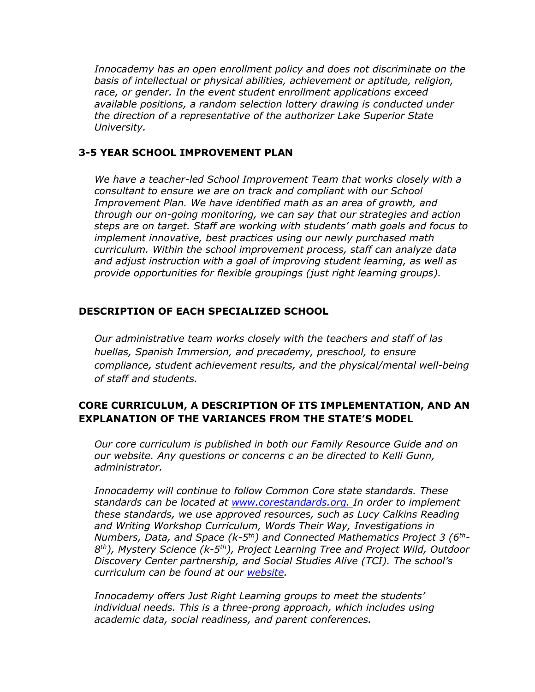*Innocademy has an open enrollment policy and does not discriminate on the basis of intellectual or physical abilities, achievement or aptitude, religion, race, or gender. In the event student enrollment applications exceed available positions, a random selection lottery drawing is conducted under the direction of a representative of the authorizer Lake Superior State University.*

### **3-5 YEAR SCHOOL IMPROVEMENT PLAN**

*We have a teacher-led School Improvement Team that works closely with a consultant to ensure we are on track and compliant with our School Improvement Plan. We have identified math as an area of growth, and through our on-going monitoring, we can say that our strategies and action steps are on target. Staff are working with students' math goals and focus to implement innovative, best practices using our newly purchased math curriculum. Within the school improvement process, staff can analyze data and adjust instruction with a goal of improving student learning, as well as provide opportunities for flexible groupings (just right learning groups).*

### **DESCRIPTION OF EACH SPECIALIZED SCHOOL**

*Our administrative team works closely with the teachers and staff of las huellas, Spanish Immersion, and precademy, preschool, to ensure compliance, student achievement results, and the physical/mental well-being of staff and students.* 

# **CORE CURRICULUM, A DESCRIPTION OF ITS IMPLEMENTATION, AND AN EXPLANATION OF THE VARIANCES FROM THE STATE'S MODEL**

*Our core curriculum is published in both our Family Resource Guide and on our website. Any questions or concerns c an be directed to Kelli Gunn, administrator.*

*Innocademy will continue to follow Common Core state standards. These standards can be located at [www.corestandards.org. I](http://www.corestandards.org/)n order to implement these standards, we use approved resources, such as Lucy Calkins Reading and Writing Workshop Curriculum, Words Their Way, Investigations in Numbers, Data, and Space (k-5 th) and Connected Mathematics Project 3 (6th-*8<sup>th</sup>), Mystery Science (k-5<sup>th</sup>), Project Learning Tree and Project Wild, Outdoor *Discovery Center partnership, and Social Studies Alive (TCI). The school's curriculum can be found at our [website.](https://innocademy.com/academics/curriculum/)* 

*Innocademy offers Just Right Learning groups to meet the students' individual needs. This is a three-prong approach, which includes using academic data, social readiness, and parent conferences.*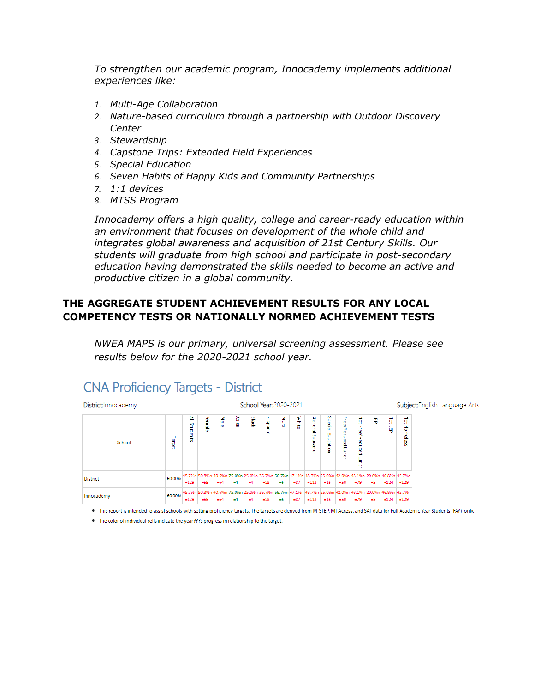*To strengthen our academic program, Innocademy implements additional experiences like:*

- *1. Multi-Age Collaboration*
- *2. Nature-based curriculum through a partnership with Outdoor Discovery Center*
- *3. Stewardship*
- *4. Capstone Trips: Extended Field Experiences*
- *5. Special Education*
- *6. Seven Habits of Happy Kids and Community Partnerships*
- *7. 1:1 devices*
- *8. MTSS Program*

*Innocademy offers a high quality, college and career-ready education within an environment that focuses on development of the whole child and integrates global awareness and acquisition of 21st Century Skills. Our students will graduate from high school and participate in post-secondary education having demonstrated the skills needed to become an active and productive citizen in a global community.*

# **THE AGGREGATE STUDENT ACHIEVEMENT RESULTS FOR ANY LOCAL COMPETENCY TESTS OR NATIONALLY NORMED ACHIEVEMENT TESTS**

*NWEA MAPS is our primary, universal screening assessment. Please see results below for the 2020-2021 school year.* 

| District: Innocademy |        |              |        |       |       |       |                 | School Year: 2020-2021 |        |                   |                   |                    |                            |       |        | Subject: English Language Arts                                                                                             |
|----------------------|--------|--------------|--------|-------|-------|-------|-----------------|------------------------|--------|-------------------|-------------------|--------------------|----------------------------|-------|--------|----------------------------------------------------------------------------------------------------------------------------|
| School               | Target | All Students | Female | Male  | Asian | Black | <b>Hispanic</b> | 흝                      | White  | General Education | Special Education | Free/Reduced Lunch | Not Free/Reduced Lun<br>g. | 5     | ă<br>5 | Not Homeless                                                                                                               |
| <b>District</b>      | 60.00% | $=129$       | $=65$  | $=64$ | $=4$  | $=4$  | $=28$           | $=6$                   | $-87$  | $=113$            | $=16$             | $=50$              | $-79$                      | $=$ 5 | $=124$ | 45.7%n 50.8%n 40.6%n 75.0%n 25.0%n 35.7%n 66.7%n 47.1%n 48.7%n 25.0%n 42.0%n 48.1%n 120.0%n 48.1%n 48.3%n 45.7%n<br>$=129$ |
| Innocademy           | 60.00% | $=129$       | $=65$  | $=64$ | $=4$  | $=4$  | $=28$           | $=6$                   | $= 87$ | $=113$            | $=16$             | $=50$              | $=79$                      | $=$ 5 | $=124$ | 45.7%n 50.8%n 40.6%n 75.0%n 25.0%n 35.7%n 56.7%n 47.1%n 48.7%n 25.0%n 42.0%n 48.1%n 20.0%n 46.8%n 46.8%n 47.7%<br>$=129$   |

# **CNA Proficiency Targets - District**

· This report is intended to assist schools with setting proficiency targets. The targets are derived from M-STEP, MI-Access, and SAT data for Full Academic Year Students (FAY) only.

. The color of individual cells indicate the year???s progress in relationship to the target.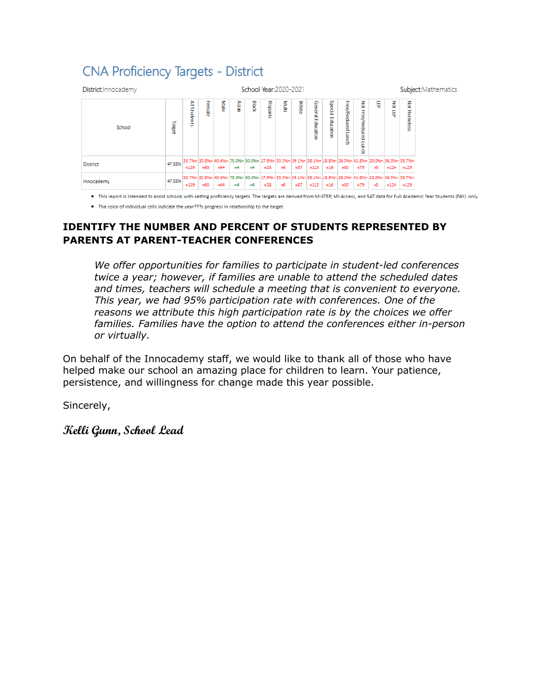# **CNA Proficiency Targets - District**

| District: Innocademy |        |              |                                                                                                                           |       |       | School Year: 2020-2021 |                 |        |        |                   |                   |                    |                            |       |        |               | Subject: Mathematics |
|----------------------|--------|--------------|---------------------------------------------------------------------------------------------------------------------------|-------|-------|------------------------|-----------------|--------|--------|-------------------|-------------------|--------------------|----------------------------|-------|--------|---------------|----------------------|
| School               | Target | All Students | Female                                                                                                                    | Male  | Asian | Black                  | <b>Hispanic</b> | 区<br>昆 | White  | General Education | Special Education | Free/Reduced Lunch | ă<br>Free/Reduced Lun<br>ē | 튟     | š<br>튱 | ă<br>Homeless |                      |
| <b>District</b>      | 47.55% | $=129$       | 35.7%n 30.8%n 40.6%n 75.0%n 50.0%n 117.9%n 33.3%n 39.1%n 38.1%n 18.8%n 18.8%n 26.0%n 41.8%n 20.0%n 36.3%n 35.7%n<br>$=65$ | $=64$ | $=4$  | $=4$                   | $=28$           | $=6$   | $= 87$ | $=113$            | $=16$             | $=50$              | $=79$                      | $=$ 5 | $=124$ | $= 129$       |                      |
| Innocademy           | 47.55% | $=129$       | 35.7%n 30.8%n 40.6%n 75.0%n 50.0%n 17.9%n 33.3%n 39.1%n 38.1%n 18.8%n 18.8%n 26.0%n 41.8%n 20.0%n 36.3%n 35.7%<br>$=65$   | $=64$ | $=4$  | $=4$                   | $=28$           | $=6$   | $= 87$ | $=113$            | $=16$             | $=50$              | $=79$                      | $=$ 5 | $=124$ | $=129$        |                      |

. This report is intended to assist schools with setting proficiency targets. The targets are derived from M-STEP, MI-Access, and SAT data for Full Academic Year Students (FAY) only.

. The color of individual cells indicate the year???s progress in relationship to the target.

# **IDENTIFY THE NUMBER AND PERCENT OF STUDENTS REPRESENTED BY PARENTS AT PARENT-TEACHER CONFERENCES**

*We offer opportunities for families to participate in student-led conferences twice a year; however, if families are unable to attend the scheduled dates and times, teachers will schedule a meeting that is convenient to everyone. This year, we had 95% participation rate with conferences. One of the reasons we attribute this high participation rate is by the choices we offer families. Families have the option to attend the conferences either in-person or virtually.* 

On behalf of the Innocademy staff, we would like to thank all of those who have helped make our school an amazing place for children to learn. Your patience, persistence, and willingness for change made this year possible.

Sincerely,

**Kelli Gunn, School Lead**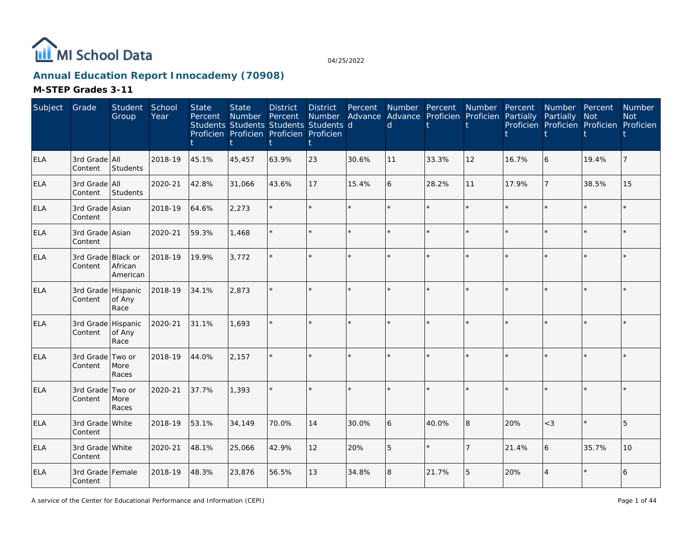

# **Annual Education Report Innocademy (70908)**

| Subject    | Grade                         | Student<br>Group        | School<br>Year | <b>State</b><br>Percent | <b>State</b><br><b>Number</b> | <b>District</b><br>Percent<br>Students Students Students Students d<br>Proficien Proficien Proficien Proficien | <b>District</b><br><b>Number</b> | Percent | Number Percent<br>$\mathsf{d}$ | Advance Advance Proficien Proficien Partially | Number         | Percent | Number Percent<br>Partially<br>Proficien Proficien Proficien Proficien | Not     | <b>Number</b><br><b>Not</b> |
|------------|-------------------------------|-------------------------|----------------|-------------------------|-------------------------------|----------------------------------------------------------------------------------------------------------------|----------------------------------|---------|--------------------------------|-----------------------------------------------|----------------|---------|------------------------------------------------------------------------|---------|-----------------------------|
| <b>ELA</b> | 3rd Grade All<br>Content      | Students                | 2018-19        | 45.1%                   | 45,457                        | 63.9%                                                                                                          | 23                               | 30.6%   | 11                             | 33.3%                                         | 12             | 16.7%   | $\boldsymbol{6}$                                                       | 19.4%   |                             |
| <b>ELA</b> | 3rd Grade All<br>Content      | Students                | 2020-21        | 42.8%                   | 31,066                        | 43.6%                                                                                                          | 17                               | 15.4%   | 6                              | 28.2%                                         | 11             | 17.9%   |                                                                        | 38.5%   | 15                          |
| <b>ELA</b> | 3rd Grade Asian<br>Content    |                         | 2018-19        | 64.6%                   | 2,273                         |                                                                                                                | $\star$                          |         |                                |                                               | $\star$        |         | ×.                                                                     |         |                             |
| <b>ELA</b> | 3rd Grade Asian<br>Content    |                         | 2020-21        | 59.3%                   | 1,468                         |                                                                                                                | ÷.                               | $\star$ |                                |                                               | $\Phi$         |         |                                                                        | $\star$ |                             |
| <b>ELA</b> | 3rd Grade Black or<br>Content | African<br>American     | 2018-19        | 19.9%                   | 3,772                         |                                                                                                                | ¥.                               |         |                                |                                               |                |         |                                                                        |         |                             |
| <b>ELA</b> | 3rd Grade Hispanic<br>Content | of Any<br>Race          | 2018-19        | 34.1%                   | 2,873                         |                                                                                                                | $\star$                          | $\star$ |                                |                                               | $\star$        |         |                                                                        | $\star$ |                             |
| <b>ELA</b> | 3rd Grade Hispanic<br>Content | of Any<br>Race          | 2020-21        | 31.1%                   | 1,693                         |                                                                                                                |                                  |         |                                |                                               |                |         |                                                                        |         |                             |
| ELA        | 3rd Grade<br>Content          | Two or<br>More<br>Races | 2018-19        | 44.0%                   | 2,157                         |                                                                                                                |                                  |         |                                |                                               |                |         |                                                                        |         |                             |
| <b>ELA</b> | 3rd Grade<br>Content          | Two or<br>More<br>Races | 2020-21        | 37.7%                   | 1,393                         |                                                                                                                | $\star$                          | $\star$ |                                |                                               | $\star$        |         |                                                                        | $\star$ |                             |
| <b>ELA</b> | 3rd Grade White<br>Content    |                         | 2018-19        | 53.1%                   | 34,149                        | 70.0%                                                                                                          | 14                               | 30.0%   | 6                              | 40.0%                                         | 8              | 20%     | $<$ 3                                                                  | $\star$ | 5                           |
| <b>ELA</b> | 3rd Grade White<br>Content    |                         | 2020-21        | 48.1%                   | 25,066                        | 42.9%                                                                                                          | 12                               | 20%     | 5                              |                                               | $\overline{7}$ | 21.4%   | 6                                                                      | 35.7%   | 10                          |
| <b>ELA</b> | 3rd Grade Female<br>Content   |                         | 2018-19        | 48.3%                   | 23,876                        | 56.5%                                                                                                          | 13                               | 34.8%   | 8                              | 21.7%                                         | 5              | 20%     | $\overline{4}$                                                         |         | 6                           |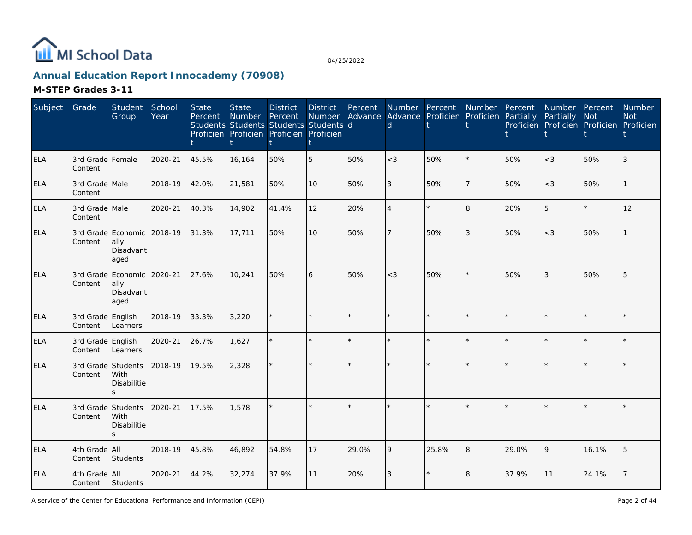

# **Annual Education Report Innocademy (70908)**

| Subject    | Grade                         | Student<br>Group                                        | School<br>Year | <b>State</b><br>Percent | <b>State</b><br>Number | <b>District</b><br>Percent<br>Students Students Students Students d<br>Proficien Proficien Proficien Proficien | <b>District</b><br>Number | Percent | $\mathsf{d}$   | Number Percent<br>Advance Advance Proficien Proficien Partially | Number | Percent | Number Percent<br>Partially<br>Proficien Proficien Proficien Proficien | Not     | <b>Number</b><br><b>Not</b> |
|------------|-------------------------------|---------------------------------------------------------|----------------|-------------------------|------------------------|----------------------------------------------------------------------------------------------------------------|---------------------------|---------|----------------|-----------------------------------------------------------------|--------|---------|------------------------------------------------------------------------|---------|-----------------------------|
| <b>ELA</b> | 3rd Grade Female<br>Content   |                                                         | 2020-21        | 45.5%                   | 16,164                 | 50%                                                                                                            | 5                         | 50%     | $<$ 3          | 50%                                                             |        | 50%     | $<$ 3                                                                  | 50%     | 3                           |
| <b>ELA</b> | 3rd Grade Male<br>Content     |                                                         | 2018-19        | 42.0%                   | 21,581                 | 50%                                                                                                            | 10                        | 50%     | 3              | 50%                                                             | 17     | 50%     | $<$ 3                                                                  | 50%     |                             |
| <b>ELA</b> | 3rd Grade Male<br>Content     |                                                         | 2020-21        | 40.3%                   | 14,902                 | 41.4%                                                                                                          | 12                        | 20%     | $\overline{A}$ | $\star$                                                         | 8      | 20%     | 5                                                                      | $\star$ | 12                          |
| ELA        | Content                       | 3rd Grade Economic 2018-19<br>ally<br>Disadvant<br>aged |                | 31.3%                   | 17,711                 | 50%                                                                                                            | 10                        | 50%     |                | 50%                                                             | 3      | 50%     | $<$ 3                                                                  | 50%     |                             |
| <b>ELA</b> | 3rd Grade<br>Content          | Economic 2020-21<br>ally<br>Disadvant<br>aged           |                | 27.6%                   | 10,241                 | 50%                                                                                                            | 6                         | 50%     | $<$ 3          | 50%                                                             |        | 50%     | 3                                                                      | 50%     | 5                           |
| <b>ELA</b> | 3rd Grade English<br>Content  | Learners                                                | 2018-19        | 33.3%                   | 3,220                  |                                                                                                                |                           |         |                | $\star$                                                         |        |         | $\star$                                                                |         |                             |
| <b>ELA</b> | 3rd Grade English<br>Content  | Learners                                                | 2020-21        | 26.7%                   | 1,627                  |                                                                                                                |                           |         |                | $\star$                                                         |        |         | $\star$                                                                |         |                             |
| <b>ELA</b> | 3rd Grade Students<br>Content | With<br>Disabilitie<br>$\mathsf{S}$                     | 2018-19        | 19.5%                   | 2,328                  |                                                                                                                |                           |         |                |                                                                 |        |         | $\star$                                                                |         |                             |
| <b>ELA</b> | 3rd Grade<br>Content          | Students<br>With<br>Disabilitie<br>$\mathcal{S}$        | 2020-21        | 17.5%                   | 1.578                  |                                                                                                                |                           |         |                |                                                                 |        |         | ÷.                                                                     |         |                             |
| <b>ELA</b> | 4th Grade All<br>Content      | Students                                                | 2018-19        | 45.8%                   | 46,892                 | 54.8%                                                                                                          | 17                        | 29.0%   | 9              | 25.8%                                                           | 8      | 29.0%   | 9                                                                      | 16.1%   |                             |
| <b>ELA</b> | 4th Grade All<br>Content      | Students                                                | 2020-21        | 44.2%                   | 32,274                 | 37.9%                                                                                                          | 11                        | 20%     | 3              | $\star$                                                         | 8      | 37.9%   | 11                                                                     | 24.1%   |                             |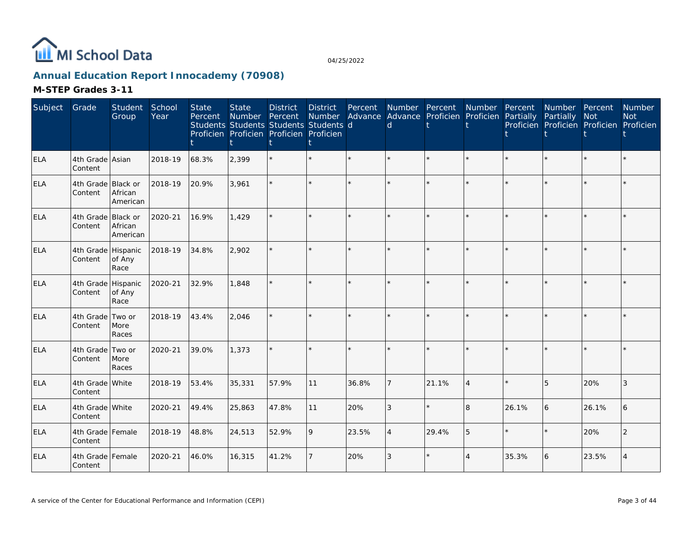

# **Annual Education Report Innocademy (70908)**

| Subject    | Grade                         | Student<br>Group                       | School<br>Year | <b>State</b><br>Percent | <b>State</b><br>Number<br>Students Students Students Students d<br>Proficien Proficien Proficien Proficien | <b>District</b><br>Percent | <b>District</b><br>Number | Percent | d       | Number Percent Number<br>Advance Advance Proficien Proficien |                | Percent<br>Partially | Number Percent<br>Partially Not<br>Proficien Proficien Proficien Proficien |         | Number<br><b>Not</b> |
|------------|-------------------------------|----------------------------------------|----------------|-------------------------|------------------------------------------------------------------------------------------------------------|----------------------------|---------------------------|---------|---------|--------------------------------------------------------------|----------------|----------------------|----------------------------------------------------------------------------|---------|----------------------|
| ELA        | 4th Grade Asian<br>Content    |                                        | 2018-19        | 68.3%                   | 2,399                                                                                                      |                            | $\star$                   | $\star$ |         | $\star$                                                      | $\star$        |                      |                                                                            | $\star$ |                      |
| <b>ELA</b> | 4th Grade Black or<br>Content | African<br>American                    | 2018-19        | 20.9%                   | 3,961                                                                                                      |                            | $\star$                   |         |         | $\star$                                                      |                |                      |                                                                            |         |                      |
| <b>ELA</b> | 4th Grade<br>Content          | <b>Black or</b><br>African<br>American | 2020-21        | 16.9%                   | 1,429                                                                                                      |                            | $\star$                   | $\star$ |         |                                                              | ÷.             |                      |                                                                            | $\star$ |                      |
| <b>ELA</b> | 4th Grade Hispanic<br>Content | of Any<br>Race                         | 2018-19        | 34.8%                   | 2,902                                                                                                      |                            | $\star$                   |         |         | $\star$                                                      |                |                      |                                                                            |         |                      |
| <b>ELA</b> | 4th Grade Hispanic<br>Content | of Any<br>Race                         | 2020-21        | 32.9%                   | 1,848                                                                                                      |                            | $\star$                   | ÷.      | $\star$ | $\star$                                                      | $\star$        | $\star$              |                                                                            | $\star$ |                      |
| <b>ELA</b> | 4th Grade<br>Content          | Two or<br>More<br>Races                | 2018-19        | 43.4%                   | 2,046                                                                                                      |                            | $\star$                   |         |         |                                                              |                |                      |                                                                            |         |                      |
| <b>ELA</b> | 4th Grade<br>Content          | Two or<br>More<br>Races                | 2020-21        | 39.0%                   | 1,373                                                                                                      |                            | $\star$                   | $\star$ |         | $\star$                                                      |                |                      |                                                                            | $\star$ |                      |
| ELA        | 4th Grade White<br>Content    |                                        | 2018-19        | 53.4%                   | 35,331                                                                                                     | 57.9%                      | 11                        | 36.8%   |         | 21.1%                                                        | $\overline{4}$ |                      | 5                                                                          | 20%     | 3                    |
| <b>ELA</b> | 4th Grade White<br>Content    |                                        | 2020-21        | 49.4%                   | 25,863                                                                                                     | 47.8%                      | 11                        | 20%     | 3       | $\star$                                                      | $\mathbf{8}$   | 26.1%                | 6                                                                          | 26.1%   | 6                    |
| <b>ELA</b> | 4th Grade Female<br>Content   |                                        | 2018-19        | 48.8%                   | 24,513                                                                                                     | 52.9%                      | 9                         | 23.5%   |         | 29.4%                                                        | 5              |                      |                                                                            | 20%     | $\mathcal{P}$        |
| <b>ELA</b> | 4th Grade Female<br>Content   |                                        | 2020-21        | 46.0%                   | 16,315                                                                                                     | 41.2%                      | $\overline{7}$            | 20%     | 3       | $\star$                                                      | $\overline{4}$ | 35.3%                | 6                                                                          | 23.5%   |                      |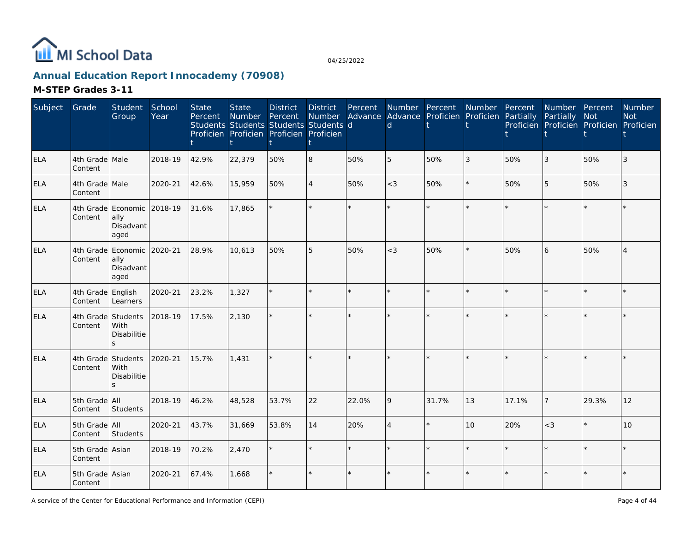

# **Annual Education Report Innocademy (70908)**

| Subject    | Grade                        | Student<br>Group                                        | School<br>Year | <b>State</b><br>Percent | <b>State</b><br><b>Number</b> | <b>District</b><br>Percent<br>Students Students Students Students d<br>Proficien Proficien Proficien Proficien | <b>District</b><br>Number<br>t | Percent | <sub>d</sub> | Number Percent<br>Advance Advance Proficien Proficien Partially | Number  | Percent | Number Percent<br>Partially Not | Proficien Proficien Proficien Proficien | <b>Number</b><br><b>Not</b> |
|------------|------------------------------|---------------------------------------------------------|----------------|-------------------------|-------------------------------|----------------------------------------------------------------------------------------------------------------|--------------------------------|---------|--------------|-----------------------------------------------------------------|---------|---------|---------------------------------|-----------------------------------------|-----------------------------|
| <b>ELA</b> | 4th Grade Male<br>Content    |                                                         | 2018-19        | 42.9%                   | 22,379                        | 50%                                                                                                            | 8                              | 50%     | 5            | 50%                                                             | 3       | 50%     | 3                               | 50%                                     | 3                           |
| <b>ELA</b> | 4th Grade Male<br>Content    |                                                         | 2020-21        | 42.6%                   | 15,959                        | 50%                                                                                                            | $\overline{4}$                 | 50%     | $<$ 3        | 50%                                                             | $\star$ | 50%     | 5                               | 50%                                     | 3                           |
| <b>ELA</b> | Content                      | 4th Grade Economic<br>ally<br>Disadvant<br>aged         | 2018-19        | 31.6%                   | 17,865                        |                                                                                                                | $\star$                        | $\star$ |              |                                                                 |         |         |                                 | $\star$                                 |                             |
| <b>ELA</b> | Content                      | 4th Grade Economic 2020-21<br>ally<br>Disadvant<br>aged |                | 28.9%                   | 10,613                        | 50%                                                                                                            | 5                              | 50%     | $<$ 3        | 50%                                                             | $\star$ | 50%     | 6                               | 50%                                     | $\overline{4}$              |
| <b>ELA</b> | 4th Grade English<br>Content | Learners                                                | 2020-21        | 23.2%                   | 1,327                         |                                                                                                                | $\star$                        | $\star$ |              |                                                                 | $\star$ |         |                                 | $\star$                                 |                             |
| <b>ELA</b> | Content                      | 4th Grade Students<br>With<br>Disabilitie               | 2018-19        | 17.5%                   | 2,130                         |                                                                                                                | $\star$                        |         |              |                                                                 |         |         |                                 | $\star$                                 |                             |
| <b>ELA</b> | Content                      | 4th Grade Students<br><b>With</b><br>Disabilitie<br>S   | 2020-21        | 15.7%                   | 1,431                         |                                                                                                                | $\star$                        |         |              |                                                                 |         |         |                                 |                                         |                             |
| <b>ELA</b> | 5th Grade All<br>Content     | Students                                                | 2018-19        | 46.2%                   | 48,528                        | 53.7%                                                                                                          | 22                             | 22.0%   | 9            | 31.7%                                                           | 13      | 17.1%   | $\overline{7}$                  | 29.3%                                   | 12                          |
| <b>ELA</b> | 5th Grade All<br>Content     | Students                                                | 2020-21        | 43.7%                   | 31,669                        | 53.8%                                                                                                          | 14                             | 20%     | $\Delta$     |                                                                 | 10      | 20%     | $<$ 3                           | $\star$                                 | 10 <sup>1</sup>             |
| <b>ELA</b> | 5th Grade Asian<br>Content   |                                                         | 2018-19        | 70.2%                   | 2,470                         |                                                                                                                | $\star$                        |         |              |                                                                 |         |         |                                 | $\star$                                 |                             |
| <b>ELA</b> | 5th Grade Asian<br>Content   |                                                         | 2020-21        | 67.4%                   | 1,668                         |                                                                                                                | $\star$                        |         |              |                                                                 |         |         |                                 |                                         |                             |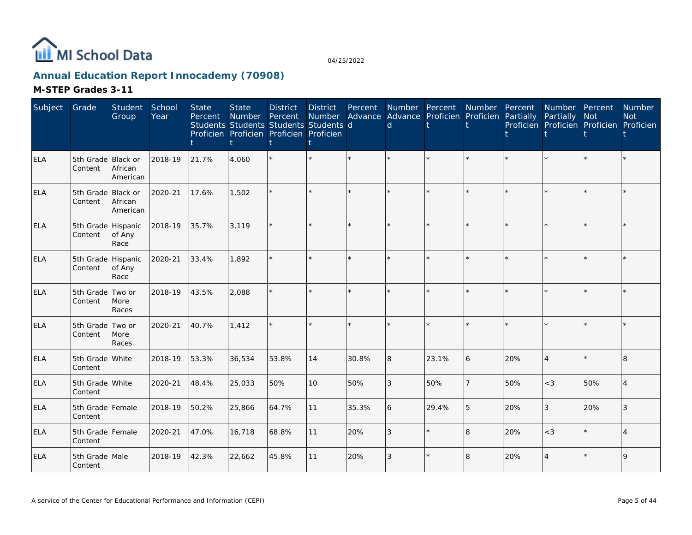

# **Annual Education Report Innocademy (70908)**

| Subject    | Grade                         | Student<br>Group    | School<br>Year | <b>State</b><br>Percent | <b>State</b><br>Number | <b>District</b><br>Percent<br>Students Students Students Students d<br>Proficien Proficien Proficien Proficien | <b>District</b><br>Number | Percent<br>Advance | Number Percent<br>$\mathsf{d}$ | Advance Proficien | Number<br>Proficien | Percent<br>Partially | Number Percent<br>Partially | Not<br>Proficien Proficien Proficien Proficien | <b>Number</b><br><b>Not</b> |
|------------|-------------------------------|---------------------|----------------|-------------------------|------------------------|----------------------------------------------------------------------------------------------------------------|---------------------------|--------------------|--------------------------------|-------------------|---------------------|----------------------|-----------------------------|------------------------------------------------|-----------------------------|
| ELA        | 5th Grade Black or<br>Content | African<br>American | 2018-19        | 21.7%                   | 4,060                  |                                                                                                                | $\star$                   | $\star$            |                                |                   |                     |                      |                             |                                                |                             |
| ELA        | 5th Grade Black or<br>Content | African<br>American | 2020-21        | 17.6%                   | 1,502                  |                                                                                                                | $\star$                   |                    |                                |                   |                     |                      |                             | $\star$                                        |                             |
| <b>ELA</b> | 5th Grade Hispanic<br>Content | of Any<br>Race      | 2018-19        | 35.7%                   | 3,119                  |                                                                                                                | ÷.                        |                    |                                |                   | $\star$             |                      |                             | $\star$                                        |                             |
| ELA        | 5th Grade Hispanic<br>Content | of Any<br>Race      | 2020-21        | 33.4%                   | 1.892                  |                                                                                                                | ÷.                        |                    |                                |                   |                     |                      |                             | ÷                                              |                             |
| ELA        | 5th Grade Two or<br>Content   | More<br>Races       | 2018-19        | 43.5%                   | 2,088                  |                                                                                                                | $\star$                   |                    |                                |                   |                     |                      |                             | $\star$                                        |                             |
| ELA        | 5th Grade Two or<br>Content   | More<br>Races       | 2020-21        | 40.7%                   | 1,412                  |                                                                                                                | $\star$                   |                    |                                |                   |                     |                      |                             | $\star$                                        |                             |
| ELA        | 5th Grade White<br>Content    |                     | 2018-19        | 53.3%                   | 36,534                 | 53.8%                                                                                                          | 14                        | 30.8%              | 8                              | 23.1%             | 6                   | 20%                  | $\overline{4}$              | $\star$                                        | l8                          |
| <b>ELA</b> | 5th Grade White<br>Content    |                     | 2020-21        | 48.4%                   | 25,033                 | 50%                                                                                                            | 10                        | 50%                | 3                              | 50%               | $\overline{7}$      | 50%                  | $<$ 3                       | 50%                                            |                             |
| ELA        | 5th Grade Female<br>Content   |                     | 2018-19        | 50.2%                   | 25,866                 | 64.7%                                                                                                          | 11                        | 35.3%              | 6                              | 29.4%             | 5                   | 20%                  | $\sqrt{3}$                  | 20%                                            | 3                           |
| ELA        | 5th Grade Female<br>Content   |                     | 2020-21        | 47.0%                   | 16,718                 | 68.8%                                                                                                          | 11                        | 20%                | 3                              |                   | 8                   | 20%                  | $<$ 3                       | $\star$                                        |                             |
| ELA        | 5th Grade Male<br>Content     |                     | 2018-19        | 42.3%                   | 22,662                 | 45.8%                                                                                                          | 11                        | 20%                | 3                              |                   | 8                   | 20%                  | $\overline{4}$              |                                                | 9                           |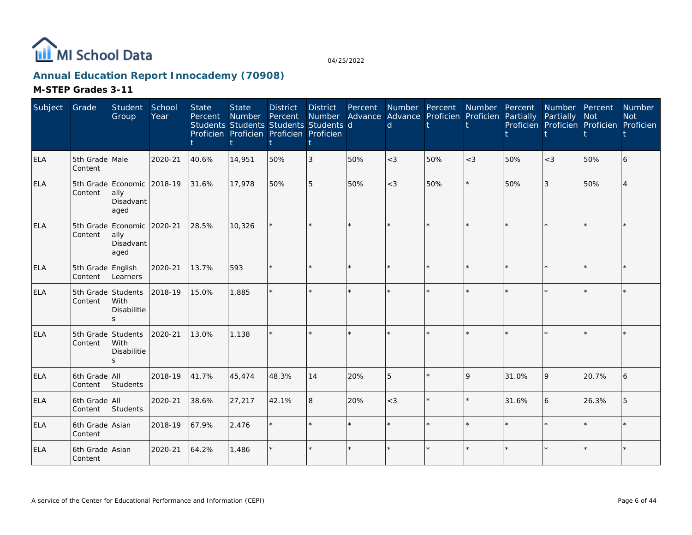

# **Annual Education Report Innocademy (70908)**

| Subject    | Grade                         | Student<br>Group                                        | School<br>Year | <b>State</b><br>Percent | <b>State</b><br>Number<br>Students Students Students Students d<br>Proficien Proficien Proficien Proficien | <b>District</b><br>Percent | District<br>Number | Percent<br>Advance | $\mathsf{d}$ | Number Percent<br>Advance Proficien | Number<br>Proficien | Percent<br>Partially | Number Percent<br>Partially<br>Proficien Proficien Proficien Proficien | <b>Not</b> | <b>Number</b><br><b>Not</b> |
|------------|-------------------------------|---------------------------------------------------------|----------------|-------------------------|------------------------------------------------------------------------------------------------------------|----------------------------|--------------------|--------------------|--------------|-------------------------------------|---------------------|----------------------|------------------------------------------------------------------------|------------|-----------------------------|
| <b>ELA</b> | 5th Grade Male<br>Content     |                                                         | 2020-21        | 40.6%                   | 14,951                                                                                                     | 50%                        | 3                  | 50%                | $<$ 3        | 50%                                 | $<$ 3               | 50%                  | $<$ 3                                                                  | 50%        | 6                           |
| ELA        | Content                       | 5th Grade Economic 2018-19<br>ally<br>Disadvant<br>aged |                | 31.6%                   | 17,978                                                                                                     | 50%                        | 5                  | 50%                | $\lt$ 3      | 50%                                 | $\star$             | 50%                  | $\overline{3}$                                                         | 50%        |                             |
| <b>ELA</b> | Content                       | 5th Grade Economic 2020-21<br>ally<br>Disadvant<br>aged |                | 28.5%                   | 10,326                                                                                                     |                            |                    |                    |              |                                     |                     |                      | ×.                                                                     |            |                             |
| <b>ELA</b> | 5th Grade English<br>Content  | Learners                                                | 2020-21        | 13.7%                   | 593                                                                                                        |                            |                    |                    |              | $\star$                             | $\star$             |                      | $\star$                                                                | $\star$    |                             |
| <b>ELA</b> | 5th Grade Students<br>Content | With<br>Disabilitie<br>S                                | 2018-19        | 15.0%                   | 1,885                                                                                                      |                            |                    |                    |              |                                     |                     |                      | $\star$                                                                |            |                             |
| <b>ELA</b> | 5th Grade Students<br>Content | With<br><b>Disabilitie</b><br>$\mathbf{z}$              | 2020-21        | 13.0%                   | 1,138                                                                                                      |                            |                    |                    |              | $\star$                             |                     |                      | $\star$                                                                |            |                             |
| ELA        | 6th Grade All<br>Content      | Students                                                | 2018-19        | 41.7%                   | 45,474                                                                                                     | 48.3%                      | 14                 | 20%                | 5            | $\star$                             | 9                   | 31.0%                | 9                                                                      | 20.7%      |                             |
| <b>ELA</b> | 6th Grade All<br>Content      | Students                                                | 2020-21        | 38.6%                   | 27,217                                                                                                     | 42.1%                      | 8                  | 20%                | $<$ 3        | $\star$                             | $\star$             | 31.6%                | 6                                                                      | 26.3%      |                             |
| <b>ELA</b> | 6th Grade Asian<br>Content    |                                                         | 2018-19        | 67.9%                   | 2,476                                                                                                      |                            |                    |                    |              | k.                                  |                     |                      | $\star$                                                                |            |                             |
| <b>ELA</b> | 6th Grade Asian<br>Content    |                                                         | 2020-21        | 64.2%                   | 1,486                                                                                                      |                            |                    |                    |              | $\star$                             |                     |                      | $\star$                                                                |            |                             |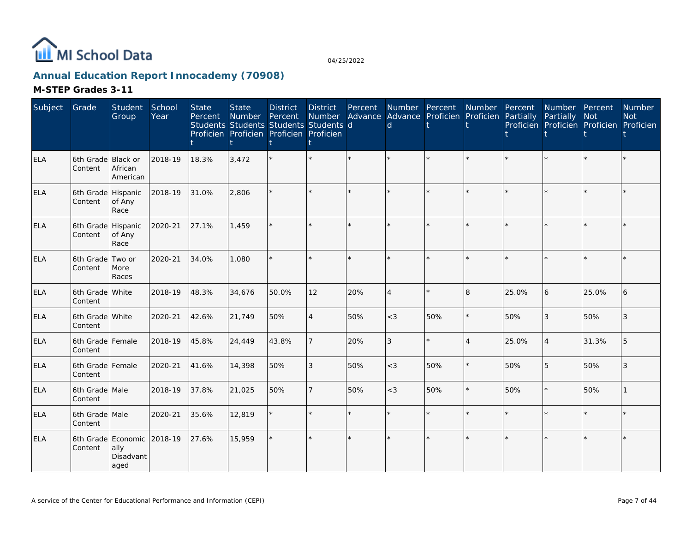

# **Annual Education Report Innocademy (70908)**

| Subject    | Grade                         | Student<br>Group                                | School<br>Year | <b>State</b><br>Percent | <b>State</b><br><b>Number</b> | <b>District</b><br>Percent<br>Students Students Students Students d<br>Proficien Proficien Proficien Proficien | <b>District</b><br>Number | Percent<br>Advance | Number Percent<br>$\mathsf{d}$ | Advance Proficien | Number<br>Proficien | Percent<br>Partially | Number Percent<br>Partially | Not<br>Proficien Proficien Proficien Proficien | <b>Number</b><br><b>Not</b> |
|------------|-------------------------------|-------------------------------------------------|----------------|-------------------------|-------------------------------|----------------------------------------------------------------------------------------------------------------|---------------------------|--------------------|--------------------------------|-------------------|---------------------|----------------------|-----------------------------|------------------------------------------------|-----------------------------|
| ELA        | 6th Grade Black or<br>Content | African<br>American                             | 2018-19        | 18.3%                   | 3,472                         |                                                                                                                | $\star$                   | $\star$            |                                |                   |                     |                      |                             | $\star$                                        |                             |
| <b>ELA</b> | 6th Grade Hispanic<br>Content | of Any<br>Race                                  | 2018-19        | 31.0%                   | 2,806                         |                                                                                                                | ÷.                        |                    |                                |                   |                     |                      |                             | $\star$                                        |                             |
| <b>ELA</b> | 6th Grade Hispanic<br>Content | of Any<br>Race                                  | 2020-21        | 27.1%                   | 1.459                         |                                                                                                                | $\star$                   |                    |                                |                   |                     |                      |                             | $\star$                                        |                             |
| <b>ELA</b> | 6th Grade Two or<br>Content   | More<br>Races                                   | 2020-21        | 34.0%                   | 1.080                         |                                                                                                                | $\star$                   |                    |                                |                   |                     |                      |                             | $\star$                                        |                             |
| <b>ELA</b> | 6th Grade White<br>Content    |                                                 | 2018-19        | 48.3%                   | 34,676                        | 50.0%                                                                                                          | 12                        | 20%                | $\boldsymbol{\vartriangle}$    |                   | 8                   | 25.0%                | 6                           | 25.0%                                          | 6                           |
| <b>ELA</b> | 6th Grade White<br>Content    |                                                 | 2020-21        | 42.6%                   | 21,749                        | 50%                                                                                                            | $\overline{4}$            | 50%                | $<$ 3                          | 50%               | $\star$             | 50%                  | 3                           | 50%                                            | 3                           |
| <b>ELA</b> | 6th Grade Female<br>Content   |                                                 | 2018-19        | 45.8%                   | 24,449                        | 43.8%                                                                                                          | $\overline{7}$            | 20%                | 3                              |                   | $\overline{4}$      | 25.0%                | $\overline{4}$              | 31.3%                                          | 5                           |
| <b>ELA</b> | 6th Grade Female<br>Content   |                                                 | 2020-21        | 41.6%                   | 14,398                        | 50%                                                                                                            | 3                         | 50%                | $<$ 3                          | 50%               | $\star$             | 50%                  | 5                           | 50%                                            | 3                           |
| <b>ELA</b> | 6th Grade Male<br>Content     |                                                 | 2018-19        | 37.8%                   | 21,025                        | 50%                                                                                                            | $\overline{7}$            | 50%                | $<$ 3                          | 50%               | $\star$             | 50%                  | $\star$                     | 50%                                            |                             |
| <b>ELA</b> | 6th Grade Male<br>Content     |                                                 | 2020-21        | 35.6%                   | 12,819                        |                                                                                                                | $\star$                   | $\star$            |                                |                   | $\star$             |                      |                             | $\star$                                        |                             |
| <b>ELA</b> | Content                       | 6th Grade Economic<br>ally<br>Disadvant<br>aged | 2018-19        | 27.6%                   | 15,959                        |                                                                                                                | $\star$                   |                    |                                |                   |                     |                      |                             | $\star$                                        |                             |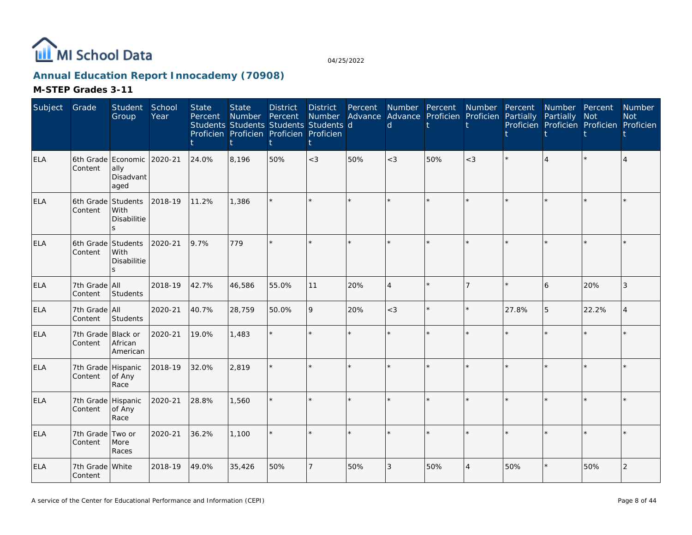

# **Annual Education Report Innocademy (70908)**

| Subject    | Grade                         | Student<br>Group                                 | School<br>Year | <b>State</b><br>Percent | <b>State</b><br><b>Number</b> | <b>District</b><br>Percent<br>Students Students Students Students d<br>Proficien Proficien Proficien Proficien | <b>District</b><br>Number<br>t | Percent | $\mathsf{d}$                | Number Percent<br>Advance Advance Proficien Proficien Partially | Number         | Percent | Number Percent<br>Partially | Not<br>Proficien Proficien Proficien Proficien | <b>Number</b><br><b>Not</b> |
|------------|-------------------------------|--------------------------------------------------|----------------|-------------------------|-------------------------------|----------------------------------------------------------------------------------------------------------------|--------------------------------|---------|-----------------------------|-----------------------------------------------------------------|----------------|---------|-----------------------------|------------------------------------------------|-----------------------------|
| <b>ELA</b> | Content                       | 6th Grade Economic<br>ally<br>Disadvant<br>aged  | 2020-21        | 24.0%                   | 8,196                         | 50%                                                                                                            | $<$ 3                          | 50%     | $<$ 3                       | 50%                                                             | $<$ 3          |         |                             | $\star$                                        |                             |
| <b>ELA</b> | Content                       | 6th Grade Students<br><b>With</b><br>Disabilitie | 2018-19        | 11.2%                   | 1,386                         |                                                                                                                | k.                             |         |                             |                                                                 |                |         |                             | $\Phi$                                         |                             |
| <b>ELA</b> | 6th Grade Students<br>Content | <b>With</b><br>Disabilitie<br>S.                 | 2020-21        | 9.7%                    | 779                           |                                                                                                                | ÷.                             |         |                             |                                                                 |                |         |                             | ÷                                              |                             |
| <b>ELA</b> | 7th Grade All<br>Content      | Students                                         | 2018-19        | 42.7%                   | 46,586                        | 55.0%                                                                                                          | 11                             | 20%     | $\boldsymbol{\vartriangle}$ |                                                                 | 7              |         | 6                           | 20%                                            | 3                           |
| ELA        | 7th Grade All<br>Content      | Students                                         | 2020-21        | 40.7%                   | 28,759                        | 50.0%                                                                                                          | 9                              | 20%     | $<$ 3                       |                                                                 |                | 27.8%   | 5                           | 22.2%                                          |                             |
| <b>ELA</b> | 7th Grade Black or<br>Content | African<br>American                              | 2020-21        | 19.0%                   | 1,483                         |                                                                                                                | ÷.                             |         |                             |                                                                 |                |         |                             |                                                |                             |
| <b>ELA</b> | 7th Grade Hispanic<br>Content | of Any<br>Race                                   | 2018-19        | 32.0%                   | 2,819                         |                                                                                                                | $\star$                        |         |                             |                                                                 | $\star$        |         |                             | $\star$                                        |                             |
| <b>ELA</b> | 7th Grade Hispanic<br>Content | of Any<br>Race                                   | 2020-21        | 28.8%                   | 1,560                         |                                                                                                                | $\star$                        |         |                             |                                                                 |                |         |                             | $\star$                                        |                             |
| <b>ELA</b> | 7th Grade Two or<br>Content   | More<br>Races                                    | 2020-21        | 36.2%                   | 1,100                         |                                                                                                                | ÷.                             |         |                             |                                                                 |                |         |                             | $\star$                                        |                             |
| <b>ELA</b> | 7th Grade White<br>Content    |                                                  | 2018-19        | 49.0%                   | 35,426                        | 50%                                                                                                            |                                | 50%     | 3                           | 50%                                                             | $\overline{4}$ | 50%     |                             | 50%                                            | $\overline{2}$              |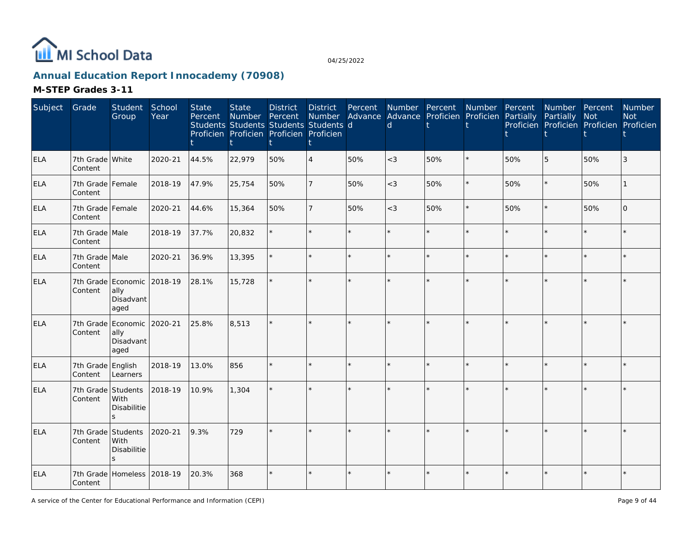

# **Annual Education Report Innocademy (70908)**

| Subject    | Grade                         | Student<br>Group                                        | School<br>Year | <b>State</b><br>Percent | <b>State</b><br>Number<br>Students Students Students Students d<br>Proficien Proficien Proficien Proficien | <b>District</b><br>Percent | <b>District</b><br>Number | Percent | Number Percent<br>Advance Advance Proficien Proficien Partially<br>$\mathsf{d}$ |         | Number Percent |     | Number Percent<br>Partially<br>Proficien Proficien Proficien Proficien | Not     | Number<br><b>Not</b> |
|------------|-------------------------------|---------------------------------------------------------|----------------|-------------------------|------------------------------------------------------------------------------------------------------------|----------------------------|---------------------------|---------|---------------------------------------------------------------------------------|---------|----------------|-----|------------------------------------------------------------------------|---------|----------------------|
| <b>ELA</b> | 7th Grade White<br>Content    |                                                         | 2020-21        | 44.5%                   | 22,979                                                                                                     | 50%                        | $\overline{4}$            | 50%     | $<$ 3                                                                           | 50%     |                | 50% | 5                                                                      | 50%     |                      |
| <b>ELA</b> | 7th Grade Female<br>Content   |                                                         | 2018-19        | 47.9%                   | 25,754                                                                                                     | 50%                        |                           | 50%     | $<$ 3                                                                           | 50%     | $\star$        | 50% | $\star$                                                                | 50%     |                      |
| <b>ELA</b> | 7th Grade Female<br>Content   |                                                         | 2020-21        | 44.6%                   | 15,364                                                                                                     | 50%                        |                           | 50%     | $<$ 3                                                                           | 50%     | $\star$        | 50% | $\star$                                                                | 50%     | l O                  |
| <b>ELA</b> | 7th Grade Male<br>Content     |                                                         | 2018-19        | 37.7%                   | 20,832                                                                                                     |                            |                           |         |                                                                                 | $\star$ |                |     | $\star$                                                                | $\star$ |                      |
| <b>ELA</b> | 7th Grade Male<br>Content     |                                                         | 2020-21        | 36.9%                   | 13,395                                                                                                     |                            |                           |         |                                                                                 | $\star$ |                |     | $\star$                                                                | $\star$ |                      |
| ELA        | Content                       | 7th Grade Economic 2018-19<br>ally<br>Disadvant<br>aged |                | 28.1%                   | 15,728                                                                                                     |                            |                           |         |                                                                                 | $\star$ |                |     | $\star$                                                                |         |                      |
| <b>ELA</b> | Content                       | 7th Grade Economic<br>ally<br>Disadvant<br>aged         | 2020-21        | 25.8%                   | 8,513                                                                                                      |                            |                           |         |                                                                                 | $\star$ |                |     |                                                                        |         |                      |
| <b>ELA</b> | 7th Grade<br>Content          | English<br>Learners                                     | 2018-19        | 13.0%                   | 856                                                                                                        |                            |                           |         |                                                                                 | $\star$ |                |     |                                                                        |         |                      |
| <b>ELA</b> | 7th Grade Students<br>Content | <b>With</b><br>Disabilitie<br>S.                        | 2018-19        | 10.9%                   | 1,304                                                                                                      |                            |                           |         |                                                                                 | $\star$ |                |     |                                                                        |         |                      |
| <b>ELA</b> | 7th Grade Students<br>Content | With<br>Disabilitie<br>S.                               | 2020-21        | 9.3%                    | 729                                                                                                        |                            |                           |         |                                                                                 | $\star$ |                |     |                                                                        |         |                      |
| ELA        | 7th Grade<br>Content          | Homeless                                                | 2018-19        | 20.3%                   | 368                                                                                                        |                            |                           |         |                                                                                 | $\star$ |                |     | $\star$                                                                |         |                      |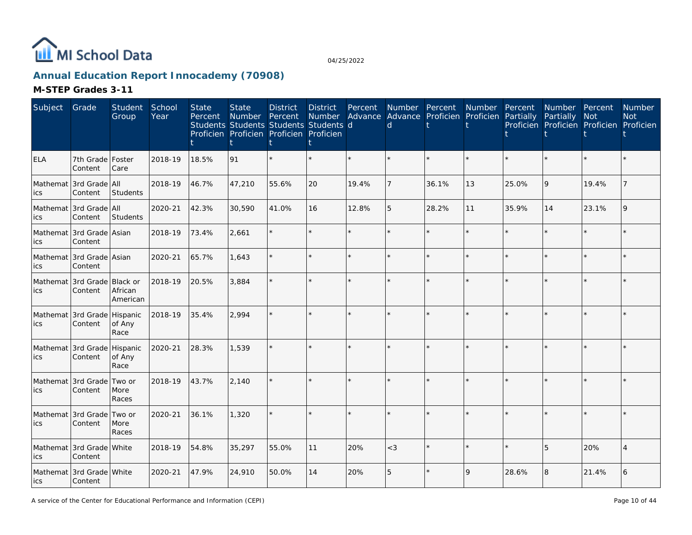

# **Annual Education Report Innocademy (70908)**

| Subject    | Grade                                  | Student<br>Group    | School<br>Year | <b>State</b><br>Percent | <b>State</b><br>Number<br>Students Students Students Students d<br>Proficien Proficien Proficien Proficien | <b>District</b><br>Percent | <b>District</b><br><b>Number</b> | Percent | Number Percent<br>$\mathsf{d}$ | Advance Advance Proficien Proficien Partially | Number Percent |       | Number Percent<br>Partially<br>Proficien Proficien Proficien Proficien | Not     | Number<br><b>Not</b> |
|------------|----------------------------------------|---------------------|----------------|-------------------------|------------------------------------------------------------------------------------------------------------|----------------------------|----------------------------------|---------|--------------------------------|-----------------------------------------------|----------------|-------|------------------------------------------------------------------------|---------|----------------------|
| <b>ELA</b> | 7th Grade Foster<br>Content            | Care                | 2018-19        | 18.5%                   | 91                                                                                                         |                            |                                  |         |                                |                                               |                |       |                                                                        |         |                      |
| ics        | Mathemat 3rd Grade All<br>Content      | Students            | 2018-19        | 46.7%                   | 47,210                                                                                                     | 55.6%                      | 20                               | 19.4%   |                                | 36.1%                                         | 13             | 25.0% | 9                                                                      | 19.4%   |                      |
| ics        | Mathemat 3rd Grade All<br>Content      | Students            | 2020-21        | 42.3%                   | 30,590                                                                                                     | 41.0%                      | 16                               | 12.8%   | 5                              | 28.2%                                         | 11             | 35.9% | 14                                                                     | 23.1%   | $\mathsf{Q}$         |
| ics        | Mathemat 3rd Grade Asian<br>Content    |                     | 2018-19        | 73.4%                   | 2,661                                                                                                      |                            | $\star$                          |         |                                | $\star$                                       | $\star$        |       |                                                                        | $\star$ |                      |
| ics        | Mathemat 3rd Grade Asian<br>Content    |                     | 2020-21        | 65.7%                   | 1,643                                                                                                      |                            | $\star$                          |         |                                | $\star$                                       |                |       |                                                                        | $\star$ |                      |
| ics        | Mathemat 3rd Grade Black or<br>Content | African<br>American | 2018-19        | 20.5%                   | 3,884                                                                                                      |                            | $\star$                          |         |                                | ÷                                             |                |       |                                                                        |         |                      |
| ics        | Mathemat 3rd Grade Hispanic<br>Content | of Any<br>Race      | 2018-19        | 35.4%                   | 2,994                                                                                                      |                            | $\star$                          |         |                                |                                               |                |       |                                                                        |         |                      |
| ics        | Mathemat 3rd Grade Hispanic<br>Content | of Any<br>Race      | 2020-21        | 28.3%                   | 1,539                                                                                                      |                            | $\star$                          |         |                                | $\star$                                       |                |       |                                                                        |         |                      |
| ics        | Mathemat 3rd Grade Two or<br>Content   | More<br>Races       | 2018-19        | 43.7%                   | 2,140                                                                                                      |                            | $\star$                          |         |                                | $\star$                                       | $\star$        |       |                                                                        | $\star$ |                      |
| ics        | Mathemat 3rd Grade Two or<br>Content   | More<br>Races       | 2020-21        | 36.1%                   | 1,320                                                                                                      |                            | $\star$                          | $\star$ |                                | $\star$                                       |                |       |                                                                        |         |                      |
| ics        | Mathemat 3rd Grade White<br>Content    |                     | 2018-19        | 54.8%                   | 35,297                                                                                                     | 55.0%                      | 11                               | 20%     | $<$ 3                          | $\star$                                       |                |       | 5                                                                      | 20%     |                      |
| ics        | Mathemat 3rd Grade White<br>Content    |                     | 2020-21        | 47.9%                   | 24,910                                                                                                     | 50.0%                      | 14                               | 20%     | 5                              | $\star$                                       | 9              | 28.6% | 8                                                                      | 21.4%   | 6                    |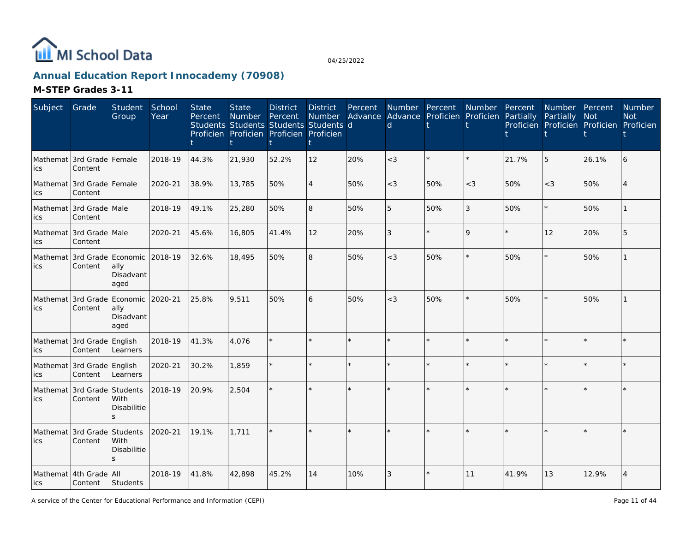

# **Annual Education Report Innocademy (70908)**

| Subject | Grade                                   | Student<br>Group                      | School<br>Year | <b>State</b><br>Percent | <b>State</b><br>Number | <b>District</b><br>Percent<br>Students Students Students Students d<br>Proficien Proficien Proficien Proficien | <b>District</b><br><b>Number</b> | Percent | Number Percent<br>$\mathsf{d}$ | Advance Advance Proficien Proficien Partially | Number Percent |       | Number Percent<br>Partially<br>Proficien Proficien Proficien Proficien | Not     | Number<br><b>Not</b> |
|---------|-----------------------------------------|---------------------------------------|----------------|-------------------------|------------------------|----------------------------------------------------------------------------------------------------------------|----------------------------------|---------|--------------------------------|-----------------------------------------------|----------------|-------|------------------------------------------------------------------------|---------|----------------------|
| ics     | Mathemat 3rd Grade Female<br>Content    |                                       | 2018-19        | 44.3%                   | 21,930                 | 52.2%                                                                                                          | 12                               | 20%     | $<$ 3                          | $\star$                                       |                | 21.7% | 5                                                                      | 26.1%   |                      |
| ics     | Mathemat I3rd Grade   Female<br>Content |                                       | 2020-21        | 38.9%                   | 13,785                 | 50%                                                                                                            | $\overline{\mathcal{L}}$         | 50%     | $<$ 3                          | 50%                                           | $<$ 3          | 50%   | $<$ 3                                                                  | 50%     |                      |
| lics    | Mathemat 3rd Grade Male<br>Content      |                                       | 2018-19        | 49.1%                   | 25,280                 | 50%                                                                                                            | 8                                | 50%     | 5                              | 50%                                           | 3              | 50%   | $\star$                                                                | 50%     |                      |
| ics     | Mathemat 3rd Grade Male<br>Content      |                                       | 2020-21        | 45.6%                   | 16,805                 | 41.4%                                                                                                          | 12                               | 20%     | 3                              | $\star$                                       | 9              |       | 12                                                                     | 20%     |                      |
| lics    | Mathemat 3rd Grade Economic<br>Content  | ally<br>Disadvant<br>aged             | 2018-19        | 32.6%                   | 18,495                 | 50%                                                                                                            | 8                                | 50%     | $<$ 3                          | 50%                                           | $\star$        | 50%   | $\star$                                                                | 50%     |                      |
| lics    | Mathemat 3rd Grade<br>Content           | Economic<br>ally<br>Disadvant<br>aged | 2020-21        | 25.8%                   | 9.511                  | 50%                                                                                                            | 6                                | 50%     | $<$ 3                          | 50%                                           | $\star$        | 50%   | $\star$                                                                | 50%     |                      |
| ics     | Mathemat 3rd Grade English<br>Content   | Learners                              | 2018-19        | 41.3%                   | 4,076                  |                                                                                                                |                                  |         |                                | $\star$                                       | $\star$        |       | $\star$                                                                | $\star$ |                      |
| lics    | Mathemat 3rd Grade English<br>Content   | Learners                              | 2020-21        | 30.2%                   | 1,859                  |                                                                                                                |                                  |         |                                | $\star$                                       |                |       |                                                                        |         |                      |
| ics     | Mathemat 3rd Grade Students<br>Content  | With<br><b>Disabilitie</b><br>$\leq$  | 2018-19        | 20.9%                   | 2,504                  |                                                                                                                |                                  |         |                                | $\star$                                       |                |       |                                                                        |         |                      |
| lics    | Mathemat 3rd Grade Students<br>Content  | With<br><b>Disabilitie</b><br>S.      | 2020-21        | 19.1%                   | 1.711                  |                                                                                                                |                                  |         |                                | $\star$                                       |                |       |                                                                        |         |                      |
| lics    | Mathemat 4th Grade All<br>Content       | Students                              | 2018-19        | 41.8%                   | 42,898                 | 45.2%                                                                                                          | 14                               | 10%     | 3                              | $\star$                                       | 11             | 41.9% | 13                                                                     | 12.9%   |                      |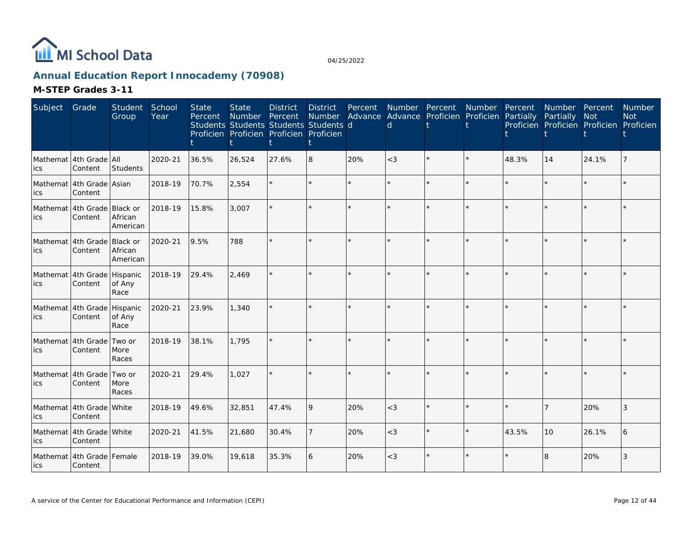

# **Annual Education Report Innocademy (70908)**

| Subject | Grade                                  | Student<br>Group    | School<br>Year | <b>State</b><br>Percent | <b>State</b><br><b>Number</b><br>Students Students Students Students d<br>Proficien Proficien Proficien Proficien | <b>District</b><br>Percent | <b>District</b><br><b>Number</b> | Percent | d       | Number Percent Number<br>Advance Advance Proficien Proficien |         | Percent<br>Partially | Number Percent<br>Partially<br>Proficien Proficien Proficien Proficien | Not     | <b>Number</b><br><b>Not</b> |
|---------|----------------------------------------|---------------------|----------------|-------------------------|-------------------------------------------------------------------------------------------------------------------|----------------------------|----------------------------------|---------|---------|--------------------------------------------------------------|---------|----------------------|------------------------------------------------------------------------|---------|-----------------------------|
| ics     | Mathemat 4th Grade All<br>Content      | Students            | 2020-21        | 36.5%                   | 26,524                                                                                                            | 27.6%                      | 8                                | 20%     | $\lt$ 3 | $\star$                                                      |         | 48.3%                | 14                                                                     | 24.1%   |                             |
| ics     | Mathemat 4th Grade Asian<br>Content    |                     | 2018-19        | 70.7%                   | 2,554                                                                                                             |                            |                                  |         |         |                                                              |         |                      | $\star$                                                                | $\star$ |                             |
| lics    | Mathemat 4th Grade Black or<br>Content | African<br>American | 2018-19        | 15.8%                   | 3,007                                                                                                             |                            |                                  |         |         |                                                              |         |                      | ÷.                                                                     | $\star$ |                             |
| ics     | Mathemat 4th Grade Black or<br>Content | African<br>American | 2020-21        | 9.5%                    | 788                                                                                                               |                            |                                  |         |         |                                                              |         |                      | $\star$                                                                | ÷.      |                             |
| lics    | Mathemat 4th Grade Hispanic<br>Content | of Any<br>Race      | 2018-19        | 29.4%                   | 2,469                                                                                                             |                            |                                  |         |         |                                                              |         |                      |                                                                        | $\star$ |                             |
| lics    | Mathemat 4th Grade Hispanic<br>Content | of Any<br>Race      | 2020-21        | 23.9%                   | 1,340                                                                                                             |                            |                                  |         |         |                                                              |         |                      | $\star$                                                                | $\star$ |                             |
| ics     | Mathemat 4th Grade Two or<br>Content   | More<br>Races       | 2018-19        | 38.1%                   | 1,795                                                                                                             |                            |                                  |         |         |                                                              |         |                      |                                                                        | ÷.      |                             |
| lics    | Mathemat 4th Grade Two or<br>Content   | More<br>Races       | 2020-21        | 29.4%                   | 1,027                                                                                                             |                            |                                  |         |         |                                                              |         |                      |                                                                        | $\star$ |                             |
| ics     | Mathemat 4th Grade White<br>Content    |                     | 2018-19        | 49.6%                   | 32,851                                                                                                            | 47.4%                      | <b>9</b>                         | 20%     | $<$ 3   | ÷.                                                           |         |                      | $\overline{7}$                                                         | 20%     | 3                           |
| ics     | Mathemat 4th Grade White<br>Content    |                     | 2020-21        | 41.5%                   | 21,680                                                                                                            | 30.4%                      | $\overline{7}$                   | 20%     | $<$ 3   |                                                              | $\star$ | 43.5%                | 10                                                                     | 26.1%   |                             |
| lics    | Mathemat 4th Grade Female<br>Content   |                     | 2018-19        | 39.0%                   | 19,618                                                                                                            | 35.3%                      | 16                               | 20%     | $<$ 3   | ÷.                                                           |         |                      | 8                                                                      | 20%     | 3                           |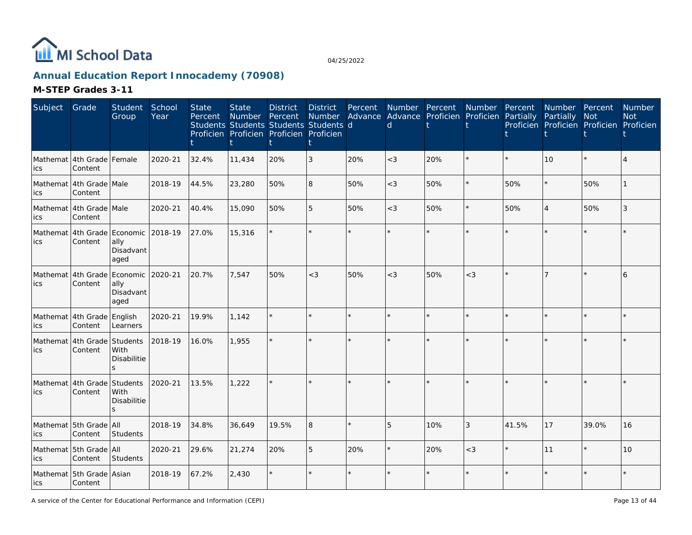

# **Annual Education Report Innocademy (70908)**

| Subject         | Grade                                | Student<br>Group                                       | School<br>Year | <b>State</b><br>Percent | <b>State</b><br>Number | <b>District</b><br>Percent<br>Students Students Students Students d<br>Proficien Proficien Proficien Proficien | <b>District</b><br><b>Number</b> | Percent | Number Percent<br>$\mathsf{d}$ | Advance Advance Proficien Proficien | Number  | Percent<br>Partially | Number Percent<br>Partially | <b>Not</b><br>Proficien Proficien Proficien Proficien | <b>Number</b><br><b>Not</b> |
|-----------------|--------------------------------------|--------------------------------------------------------|----------------|-------------------------|------------------------|----------------------------------------------------------------------------------------------------------------|----------------------------------|---------|--------------------------------|-------------------------------------|---------|----------------------|-----------------------------|-------------------------------------------------------|-----------------------------|
| ics             | Mathemat 4th Grade Female<br>Content |                                                        | 2020-21        | 32.4%                   | 11,434                 | 20%                                                                                                            | 3                                | 20%     | $<$ 3                          | 20%                                 |         |                      | 10                          | $\star$                                               |                             |
| ics             | Mathemat 4th Grade Male<br>Content   |                                                        | 2018-19        | 44.5%                   | 23,280                 | 50%                                                                                                            | 8                                | 50%     | $<$ 3                          | 50%                                 | $\star$ | 50%                  | $\star$                     | 50%                                                   |                             |
| ics             | Mathemat 4th Grade Male<br>Content   |                                                        | 2020-21        | 40.4%                   | 15,090                 | 50%                                                                                                            | 5                                | 50%     | $<$ 3                          | 50%                                 | $\star$ | 50%                  | $\overline{4}$              | 50%                                                   | 3                           |
| Mathemat<br>ics | 4th Grade<br>Content                 | Economic<br>ally<br>Disadvant<br>aged                  | 2018-19        | 27.0%                   | 15,316                 |                                                                                                                |                                  | $\star$ |                                |                                     | $\star$ |                      |                             | $\star$                                               |                             |
| ics             | Mathemat 4th Grade<br>Content        | Economic<br>ally<br>Disadvant<br>aged                  | 2020-21        | 20.7%                   | 7,547                  | 50%                                                                                                            | $<\!3$                           | 50%     | $<$ 3                          | 50%                                 | $<$ 3   |                      |                             |                                                       | 6                           |
| ics             | Mathemat 4th Grade<br>Content        | English<br>Learners                                    | 2020-21        | 19.9%                   | 1,142                  |                                                                                                                |                                  |         |                                |                                     |         |                      |                             | $\star$                                               |                             |
| Mathemat<br>ics | 4th Grade<br>Content                 | Students<br>With<br>Disabilitie<br>$\mathbf{S}$        | 2018-19        | 16.0%                   | 1,955                  |                                                                                                                |                                  |         |                                |                                     |         |                      |                             |                                                       |                             |
| Mathemat<br>ics | 4th Grade<br>Content                 | Students<br>With<br><b>Disabilitie</b><br>$\mathbf{z}$ | 2020-21        | 13.5%                   | 1,222                  |                                                                                                                |                                  |         |                                |                                     |         |                      |                             | $\star$                                               |                             |
| ics             | Mathemat 5th Grade<br>Content        | <b>AII</b><br><b>Students</b>                          | 2018-19        | 34.8%                   | 36,649                 | 19.5%                                                                                                          | 8                                |         | 5                              | 10%                                 | 3       | 41.5%                | 17                          | 39.0%                                                 | 16                          |
| ics             | Mathemat 5th Grade All<br>Content    | Students                                               | 2020-21        | 29.6%                   | 21,274                 | 20%                                                                                                            | 5                                | 20%     |                                | 20%                                 | $<$ 3   |                      | 11                          | $\star$                                               | 10                          |
| lics            | Mathemat 5th Grade Asian<br>Content  |                                                        | 2018-19        | 67.2%                   | 2,430                  |                                                                                                                |                                  |         |                                | ÷.                                  |         |                      | $\star$                     | $\star$                                               |                             |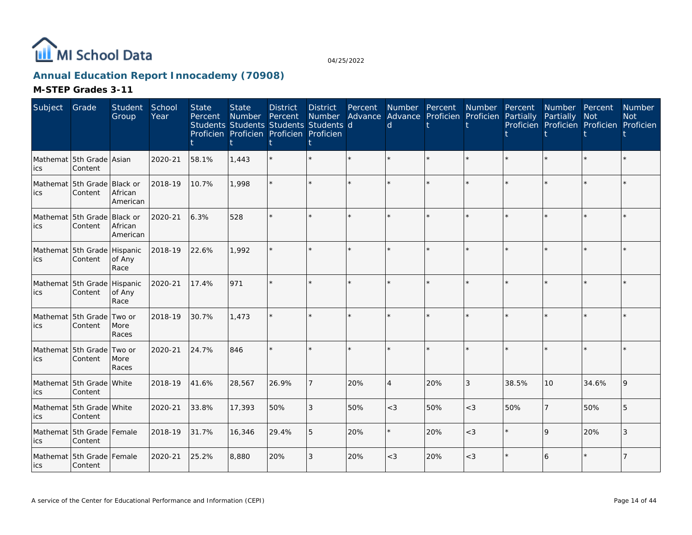

# **Annual Education Report Innocademy (70908)**

| Subject | Grade                                  | Student<br>Group                | School<br>Year | <b>State</b><br>Percent | <b>State</b><br>Number<br>Students Students Students Students d<br>Proficien Proficien Proficien Proficien | <b>District</b><br>Percent | <b>District</b><br><b>Number</b> | Percent<br>Advance | Number Percent<br><sub>d</sub> | Advance Proficien | Number<br>Proficien | Percent<br>Partially | Number Percent<br>Partially | Not<br>Proficien Proficien Proficien Proficien | <b>Number</b><br><b>Not</b> |
|---------|----------------------------------------|---------------------------------|----------------|-------------------------|------------------------------------------------------------------------------------------------------------|----------------------------|----------------------------------|--------------------|--------------------------------|-------------------|---------------------|----------------------|-----------------------------|------------------------------------------------|-----------------------------|
| ics     | Mathemat 5th Grade Asian<br>Content    |                                 | 2020-21        | 58.1%                   | 1,443                                                                                                      |                            |                                  | $\star$            |                                | $\star$           | $\star$             |                      | $\star$                     | $\star$                                        |                             |
| ics     | Mathemat 5th Grade Black or<br>Content | African<br>American             | 2018-19        | 10.7%                   | 1,998                                                                                                      |                            |                                  |                    |                                |                   |                     |                      |                             |                                                |                             |
| ics     | Mathemat 5th Grade<br>Content          | Black or<br>African<br>American | 2020-21        | 6.3%                    | 528                                                                                                        |                            |                                  |                    |                                |                   | $\star$             |                      | ÷.                          | $\star$                                        |                             |
| ics     | Mathemat 5th Grade Hispanic<br>Content | of Any<br>Race                  | 2018-19        | 22.6%                   | 1,992                                                                                                      |                            |                                  |                    |                                |                   |                     |                      |                             | $\star$                                        |                             |
| ics     | Mathemat 5th Grade Hispanic<br>Content | of Any<br>Race                  | 2020-21        | 17.4%                   | 971                                                                                                        |                            |                                  |                    |                                |                   |                     |                      | $\star$                     | $\star$                                        |                             |
| ics     | Mathemat 5th Grade<br>Content          | Two or<br>More<br>Races         | 2018-19        | 30.7%                   | 1,473                                                                                                      |                            |                                  |                    |                                |                   |                     |                      |                             | $\star$                                        |                             |
| ics     | Mathemat 5th Grade<br>Content          | Two or<br>More<br>Races         | 2020-21        | 24.7%                   | 846                                                                                                        |                            |                                  |                    |                                |                   | $\star$             |                      | $\star$                     | $\star$                                        |                             |
| ics     | Mathemat 5th Grade<br>Content          | <b>White</b>                    | 2018-19        | 41.6%                   | 28,567                                                                                                     | 26.9%                      |                                  | 20%                | $\overline{4}$                 | 20%               | 3                   | 38.5%                | 10                          | 34.6%                                          | $\mathsf{Q}$                |
| ics     | Mathemat 5th Grade White<br>Content    |                                 | 2020-21        | 33.8%                   | 17,393                                                                                                     | 50%                        | 3                                | 50%                | $<$ 3                          | 50%               | $<$ 3               | 50%                  | $\overline{7}$              | 50%                                            | 5                           |
| ics     | Mathemat 5th Grade Female<br>Content   |                                 | 2018-19        | 31.7%                   | 16,346                                                                                                     | 29.4%                      | 5                                | 20%                |                                | 20%               | $<$ 3               |                      | 9                           | 20%                                            | 3                           |
| lics    | Mathemat 5th Grade Female<br>Content   |                                 | 2020-21        | 25.2%                   | 8,880                                                                                                      | 20%                        | 3                                | 20%                | $<$ 3                          | 20%               | $<$ 3               |                      | 6                           | $\star$                                        |                             |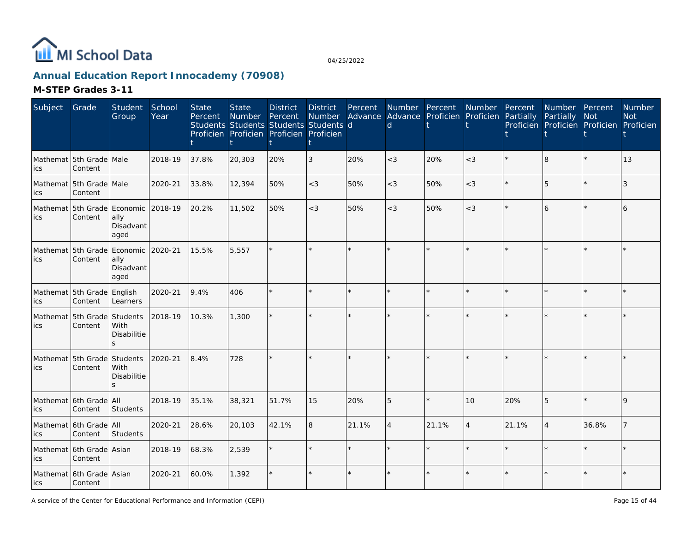

# **Annual Education Report Innocademy (70908)**

| Subject | Grade                                          | Student<br>Group                              | School<br>Year | <b>State</b><br>Percent | <b>State</b><br>Number | <b>District</b><br>Percent<br>Students Students Students Students d<br>Proficien Proficien Proficien Proficien | <b>District</b><br><b>Number</b> | Percent | Number Percent<br><sub>d</sub> | Advance Advance Proficien Proficien | Number         | Percent<br>Partially | Number Percent<br>Partially Not | Proficien Proficien Proficien Proficien | <b>Number</b><br><b>Not</b> |
|---------|------------------------------------------------|-----------------------------------------------|----------------|-------------------------|------------------------|----------------------------------------------------------------------------------------------------------------|----------------------------------|---------|--------------------------------|-------------------------------------|----------------|----------------------|---------------------------------|-----------------------------------------|-----------------------------|
| ics     | Mathemat 5th Grade Male<br>Content             |                                               | 2018-19        | 37.8%                   | 20,303                 | 20%                                                                                                            | 3                                | 20%     | $<$ 3                          | 20%                                 | $<$ 3          |                      | 8                               | $\star$                                 | 13                          |
| ics     | Mathemat 5th Grade Male<br>Content             |                                               | 2020-21        | 33.8%                   | 12,394                 | 50%                                                                                                            | $<$ 3                            | 50%     | $<$ 3                          | 50%                                 | $<$ 3          |                      | 5                               | $\star$                                 | 3                           |
| ics     | Mathemat 5th Grade Economic 2018-19<br>Content | ally<br>Disadvant<br>aged                     |                | 20.2%                   | 11,502                 | 50%                                                                                                            | $<$ 3                            | 50%     | $<$ 3                          | 50%                                 | $<$ 3          |                      | 6                               | $\star$                                 | 6                           |
| ics     | Mathemat 5th Grade<br>Content                  | Economic 2020-21<br>ally<br>Disadvant<br>aged |                | 15.5%                   | 5,557                  |                                                                                                                |                                  |         |                                |                                     |                |                      | ÷.                              | $\star$                                 |                             |
| ics     | Mathemat 5th Grade English<br>Content          | Learners                                      | 2020-21        | 9.4%                    | 406                    |                                                                                                                |                                  | $\star$ | $\star$                        | ÷.                                  | $\star$        |                      | $\star$                         | $\star$                                 |                             |
| ics     | Mathemat 5th Grade<br>Content                  | Students<br>With<br>Disabilitie               | 2018-19        | 10.3%                   | 1,300                  |                                                                                                                |                                  |         |                                |                                     |                |                      |                                 |                                         |                             |
| ics     | Mathemat 5th Grade<br>Content                  | Students<br>With<br>Disabilitie<br>ς          | 2020-21        | 8.4%                    | 728                    |                                                                                                                |                                  |         |                                |                                     |                |                      |                                 |                                         |                             |
| ics     | Mathemat 6th Grade All<br>Content              | Students                                      | 2018-19        | 35.1%                   | 38,321                 | 51.7%                                                                                                          | 15                               | 20%     | 5                              | ÷.                                  | 10             | 20%                  | 5                               |                                         | 9                           |
| ics     | Mathemat 6th Grade All<br>Content              | Students                                      | 2020-21        | 28.6%                   | 20,103                 | 42.1%                                                                                                          | 8                                | 21.1%   | $\overline{A}$                 | 21.1%                               | $\overline{4}$ | 21.1%                | $\overline{4}$                  | 36.8%                                   |                             |
| ics     | Mathemat 6th Grade Asian<br>Content            |                                               | 2018-19        | 68.3%                   | 2,539                  |                                                                                                                |                                  |         |                                |                                     |                |                      |                                 | $\star$                                 |                             |
| lics    | Mathemat 6th Grade Asian<br>Content            |                                               | 2020-21        | 60.0%                   | 1,392                  |                                                                                                                |                                  |         |                                |                                     |                |                      | $\star$                         |                                         |                             |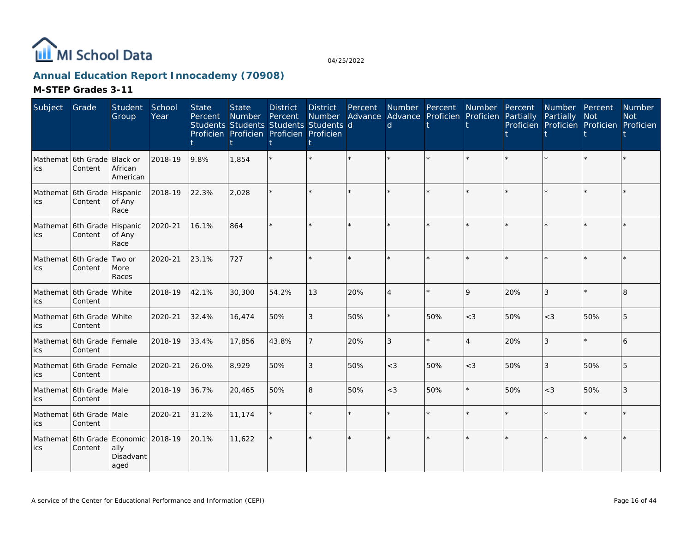

# **Annual Education Report Innocademy (70908)**

| Subject         | Grade                                  | Student<br>Group           | School<br>Year | <b>State</b><br>Percent | <b>State</b><br>Number<br>Students Students Students Students d<br>Proficien Proficien Proficien Proficien | <b>District</b><br>Percent | <b>District</b><br>Number | Percent<br>Advance | Number Percent<br><sub>d</sub> | Advance Proficien | Number<br>Proficien | Percent<br>Partially | Number Percent<br>Partially | <b>Not</b><br>Proficien Proficien Proficien Proficien | Number<br><b>Not</b> |
|-----------------|----------------------------------------|----------------------------|----------------|-------------------------|------------------------------------------------------------------------------------------------------------|----------------------------|---------------------------|--------------------|--------------------------------|-------------------|---------------------|----------------------|-----------------------------|-------------------------------------------------------|----------------------|
| ics             | Mathemat 6th Grade Black or<br>Content | African<br>American        | 2018-19        | 9.8%                    | 1,854                                                                                                      |                            |                           |                    |                                |                   |                     |                      |                             |                                                       |                      |
| ics             | Mathemat 6th Grade Hispanic<br>Content | of Any<br>Race             | 2018-19        | 22.3%                   | 2,028                                                                                                      |                            |                           |                    |                                |                   |                     |                      | $\star$                     | $\star$                                               |                      |
| ics             | Mathemat 6th Grade<br>Content          | Hispanic<br>of Any<br>Race | 2020-21        | 16.1%                   | 864                                                                                                        |                            |                           | $\star$            |                                |                   | $\star$             |                      |                             | $\star$                                               |                      |
| ics             | Mathemat 6th Grade<br>Content          | Two or<br>More<br>Races    | 2020-21        | 23.1%                   | 727                                                                                                        |                            |                           |                    |                                |                   |                     |                      | ÷.                          | $\star$                                               |                      |
| ics             | Mathemat 6th Grade White<br>Content    |                            | 2018-19        | 42.1%                   | 30,300                                                                                                     | 54.2%                      | 13                        | 20%                | $\overline{4}$                 | $\star$           | 9                   | 20%                  | 3                           | $\star$                                               | 8                    |
| ics             | Mathemat 6th Grade White<br>Content    |                            | 2020-21        | 32.4%                   | 16,474                                                                                                     | 50%                        | 3                         | 50%                |                                | 50%               | $<$ 3               | 50%                  | $<$ 3                       | 50%                                                   | 5                    |
| ics             | Mathemat 6th Grade Female<br>Content   |                            | 2018-19        | 33.4%                   | 17,856                                                                                                     | 43.8%                      |                           | 20%                | 3                              | $\star$           | 4                   | 20%                  | 3                           | $\star$                                               |                      |
| ics             | Mathemat 6th Grade Female<br>Content   |                            | 2020-21        | 26.0%                   | 8,929                                                                                                      | 50%                        | 3                         | 50%                | $<$ 3                          | 50%               | $<$ 3               | 50%                  | 3                           | 50%                                                   | 5                    |
| ics             | Mathemat 6th Grade Male<br>Content     |                            | 2018-19        | 36.7%                   | 20,465                                                                                                     | 50%                        | 8                         | 50%                | $<$ 3                          | 50%               | $\star$             | 50%                  | $<$ 3                       | 50%                                                   | 3                    |
| ics             | Mathemat 6th Grade Male<br>Content     |                            | 2020-21        | 31.2%                   | 11,174                                                                                                     |                            |                           | $\star$            |                                |                   | $\star$             |                      | $\star$                     | $\star$                                               |                      |
| Mathemat<br>ics | 6th Grade Economic<br>Content          | ally<br>Disadvant<br>aged  | 2018-19        | 20.1%                   | 11,622                                                                                                     |                            |                           |                    |                                |                   |                     |                      | ÷.                          | $\star$                                               |                      |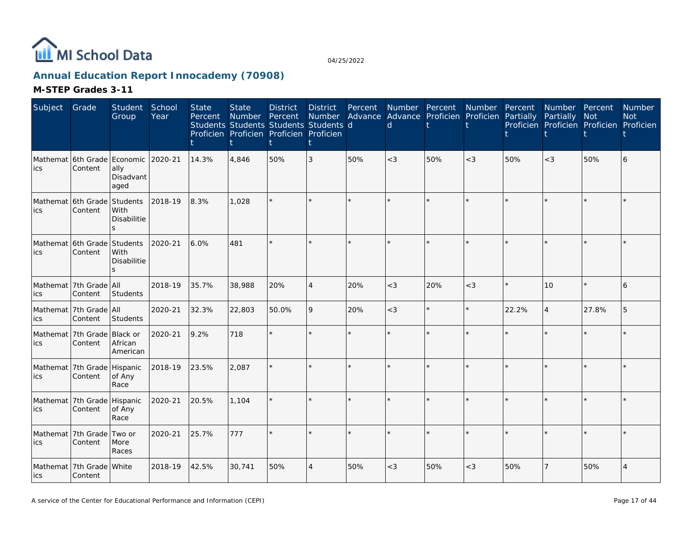

# **Annual Education Report Innocademy (70908)**

| Subject | Grade                                   | Student<br>Group          | School<br>Year | <b>State</b><br>Percent | <b>State</b><br>Number | <b>District</b><br>Percent<br>Students Students Students Students d<br>Proficien Proficien Proficien Proficien | <b>District</b><br>Number<br>t | Percent | Number Percent<br>d | Advance Advance Proficien | Number<br>Proficien | Percent<br>Partially | Number Percent<br>Partially<br>Proficien Proficien Proficien Proficien | Not     | Number<br><b>Not</b> |
|---------|-----------------------------------------|---------------------------|----------------|-------------------------|------------------------|----------------------------------------------------------------------------------------------------------------|--------------------------------|---------|---------------------|---------------------------|---------------------|----------------------|------------------------------------------------------------------------|---------|----------------------|
| ics     | Mathemat 6th Grade Economic<br>Content  | ally<br>Disadvant<br>aged | 2020-21        | 14.3%                   | 4,846                  | 50%                                                                                                            | 3                              | 50%     | $<$ 3               | 50%                       | $<$ 3               | 50%                  | $<$ 3                                                                  | 50%     | 6                    |
| lics    | Mathemat 6th Grade Students<br>Content  | With<br>Disabilitie       | 2018-19        | 8.3%                    | 1,028                  |                                                                                                                |                                |         |                     |                           |                     |                      |                                                                        | ÷       |                      |
| lics    | Mathemat 6th Grade Students<br>Content  | With<br>Disabilitie<br>S. | 2020-21        | 6.0%                    | 481                    |                                                                                                                | ÷.                             |         |                     | ÷.                        | ÷.                  |                      | ÷.                                                                     | ÷.      |                      |
| lics    | Mathemat 7th Grade All<br>Content       | Students                  | 2018-19        | 35.7%                   | 38,988                 | 20%                                                                                                            | $\overline{4}$                 | 20%     | $<$ 3               | 20%                       | $<$ 3               |                      | 10                                                                     | $\star$ | 6                    |
| ics     | Mathemat 7th Grade All<br>Content       | Students                  | 2020-21        | 32.3%                   | 22,803                 | 50.0%                                                                                                          | 9                              | 20%     | $<$ 3               | $\star$                   | $\star$             | 22.2%                | $\overline{4}$                                                         | 27.8%   | 5                    |
| lics    | Mathemat 7th Grade Black or<br>Content  | African<br>American       | 2020-21        | 9.2%                    | 718                    |                                                                                                                | ÷.                             |         |                     | ÷.                        | ÷                   |                      | ÷.                                                                     |         |                      |
| ics     | Mathemat 7th Grade Hispanic<br>Content  | of Any<br>Race            | 2018-19        | 23.5%                   | 2,087                  |                                                                                                                | ÷.                             |         |                     | $\star$                   | $\star$             |                      | $\star$                                                                | $\star$ |                      |
| lics    | Mathemat 7th Grade Hispanic<br>Content  | of Any<br>Race            | 2020-21        | 20.5%                   | 1,104                  |                                                                                                                | ÷.                             | $\star$ |                     | ÷.                        | $\star$             |                      | ÷.                                                                     | ÷       |                      |
| ics     | Mathemat 7th Grade<br>Content           | Two or<br>More<br>Races   | 2020-21        | 25.7%                   | 777                    |                                                                                                                |                                | $\star$ |                     |                           | $\star$             |                      |                                                                        | $\star$ |                      |
| lics    | Mathemat   7th Grade   White<br>Content |                           | 2018-19        | 42.5%                   | 30,741                 | 50%                                                                                                            | $\overline{4}$                 | 50%     | $<$ 3               | 50%                       | $<$ 3               | 50%                  | $\overline{7}$                                                         | 50%     | $\overline{4}$       |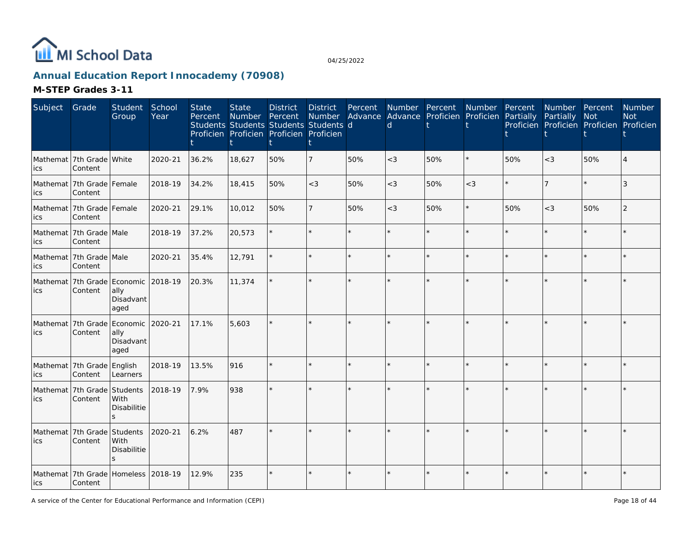

# **Annual Education Report Innocademy (70908)**

| Subject                            | Grade                                  | Student<br>Group                                         | School<br>Year | <b>State</b><br>Percent | <b>State</b><br>Number<br>Students Students Students Students d<br>Proficien Proficien Proficien Proficien | <b>District</b><br>Percent | <b>District</b> | Percent | d     | Number Percent Number<br>Number Advance Advance Proficien Proficien Partially |         | Percent | Number Percent<br>Partially<br>Proficien Proficien Proficien Proficien | Not     | <b>Number</b><br><b>Not</b> |
|------------------------------------|----------------------------------------|----------------------------------------------------------|----------------|-------------------------|------------------------------------------------------------------------------------------------------------|----------------------------|-----------------|---------|-------|-------------------------------------------------------------------------------|---------|---------|------------------------------------------------------------------------|---------|-----------------------------|
| ics                                | Mathemat 7th Grade White<br>Content    |                                                          | 2020-21        | 36.2%                   | 18,627                                                                                                     | 50%                        | $\overline{7}$  | 50%     | $<$ 3 | 50%                                                                           |         | 50%     | $<$ 3                                                                  | 50%     |                             |
| ics                                | Mathemat 7th Grade Female<br>Content   |                                                          | 2018-19        | 34.2%                   | 18,415                                                                                                     | 50%                        | $<$ 3           | 50%     | $<$ 3 | 50%                                                                           | $<$ 3   |         |                                                                        |         | 3                           |
| ics                                | Mathemat 7th Grade Female<br>Content   |                                                          | 2020-21        | 29.1%                   | 10,012                                                                                                     | 50%                        | $\overline{7}$  | 50%     | $<$ 3 | 50%                                                                           | $\star$ | 50%     | $<$ 3                                                                  | 50%     | 2                           |
| ics                                | Mathemat 7th Grade Male<br>Content     |                                                          | 2018-19        | 37.2%                   | 20,573                                                                                                     |                            | $\star$         | ÷.      |       |                                                                               | $\star$ |         |                                                                        | $\star$ |                             |
| ics                                | Mathemat 7th Grade Male<br>Content     |                                                          | 2020-21        | 35.4%                   | 12,791                                                                                                     |                            | ÷.              |         |       | ¥.                                                                            |         |         |                                                                        |         |                             |
| ics                                | Content                                | Mathemat 7th Grade Economic<br>ally<br>Disadvant<br>aged | 2018-19        | 20.3%                   | 11,374                                                                                                     |                            | $\star$         | ÷.      |       | ÷.                                                                            | ÷       |         |                                                                        |         |                             |
| ics                                | Content                                | Mathemat 7th Grade Economic<br>ally<br>Disadvant<br>aged | 2020-21        | 17.1%                   | 5,603                                                                                                      |                            |                 |         |       |                                                                               |         |         |                                                                        |         |                             |
| ics                                | Mathemat 7th Grade English<br>Content  | Learners                                                 | 2018-19        | 13.5%                   | 916                                                                                                        |                            |                 |         |       |                                                                               |         |         |                                                                        |         |                             |
| ics                                | Mathemat 7th Grade Students<br>Content | With<br><b>Disabilitie</b>                               | 2018-19        | 7.9%                    | 938                                                                                                        |                            |                 |         |       | $\star$                                                                       |         |         |                                                                        |         |                             |
| Mathemat 7th Grade Students<br>ics | Content                                | <b>With</b><br><b>Disabilitie</b><br>S                   | 2020-21        | 6.2%                    | 487                                                                                                        |                            |                 |         |       | $\star$                                                                       |         |         |                                                                        |         |                             |
| lics                               | Content                                | Mathemat 7th Grade Homeless                              | 2018-19        | 12.9%                   | 235                                                                                                        |                            | $\star$         |         |       | $\star$                                                                       |         |         |                                                                        |         |                             |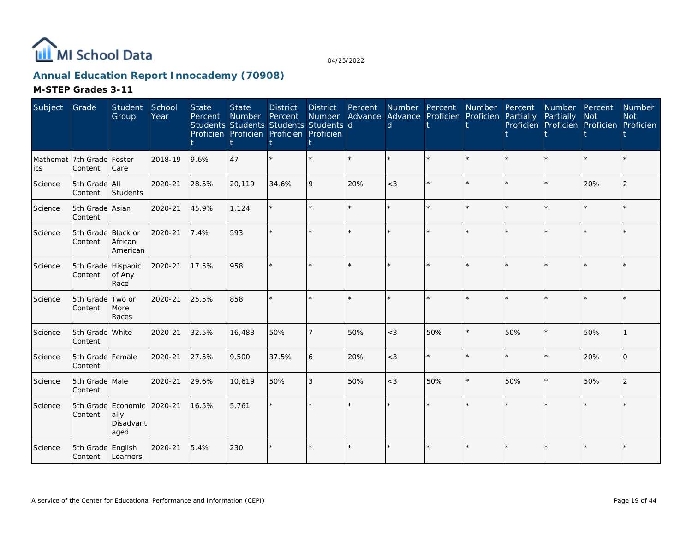

# **Annual Education Report Innocademy (70908)**

| Subject | Grade                                 | <b>Student</b><br>Group                         | School<br>Year | <b>State</b><br>Percent | <b>State</b><br><b>Number</b> | <b>District</b><br>Percent<br>Students Students Students Students d<br>Proficien Proficien Proficien Proficien | <b>District</b><br><b>Number</b> | Percent<br>Advance | Number Percent<br><sub>d</sub> | Advance Proficien | Number<br>Proficien | Percent<br>Partially | Number Percent<br>Partially<br>Proficien Proficien Proficien Proficien | <b>Not</b> | <b>Number</b><br><b>Not</b> |
|---------|---------------------------------------|-------------------------------------------------|----------------|-------------------------|-------------------------------|----------------------------------------------------------------------------------------------------------------|----------------------------------|--------------------|--------------------------------|-------------------|---------------------|----------------------|------------------------------------------------------------------------|------------|-----------------------------|
| ics     | Mathemat 7th Grade Foster<br>Content  | Care                                            | 2018-19        | 9.6%                    | 47                            |                                                                                                                |                                  |                    |                                |                   |                     |                      |                                                                        |            |                             |
| Science | 5th Grade All<br>Content              | Students                                        | 2020-21        | 28.5%                   | 20,119                        | 34.6%                                                                                                          | 9                                | 20%                | $<$ 3                          |                   | $\star$             |                      | $\star$                                                                | 20%        | $\overline{2}$              |
| Science | 5th Grade Asian<br>Content            |                                                 | 2020-21        | 45.9%                   | 1,124                         |                                                                                                                |                                  | $\star$            |                                |                   | $\star$             |                      | $\star$                                                                | $\star$    |                             |
| Science | 5th Grade Black or<br>Content         | African<br>American                             | 2020-21        | 7.4%                    | 593                           |                                                                                                                |                                  | $\star$            |                                |                   | $\star$             |                      |                                                                        | $\star$    |                             |
| Science | 5th Grade Hispanic<br>Content         | of Any<br>Race                                  | 2020-21        | 17.5%                   | 958                           |                                                                                                                |                                  | $\star$            |                                |                   | $\star$             |                      | ÷.                                                                     | $\star$    |                             |
| Science | 5th Grade Two or<br>Content           | More<br>Races                                   | 2020-21        | 25.5%                   | 858                           |                                                                                                                |                                  | $\star$            |                                |                   | $\star$             |                      | ÷.                                                                     | $\star$    |                             |
| Science | 5th Grade White<br>Content            |                                                 | 2020-21        | 32.5%                   | 16,483                        | 50%                                                                                                            |                                  | 50%                | $<$ 3                          | 50%               | $\star$             | 50%                  | $\star$                                                                | 50%        |                             |
| Science | 5th Grade Female<br>Content           |                                                 | 2020-21        | 27.5%                   | 9,500                         | 37.5%                                                                                                          | 6                                | 20%                | $\lt3$                         |                   | $\star$             |                      | $\star$                                                                | 20%        | $\Omega$                    |
| Science | 5th Grade Male<br>Content             |                                                 | 2020-21        | 29.6%                   | 10,619                        | 50%                                                                                                            | 3                                | 50%                | $<$ 3                          | 50%               | $\star$             | 50%                  | $\star$                                                                | 50%        | $\overline{2}$              |
| Science | Content                               | 5th Grade Economic<br>ally<br>Disadvant<br>aged | 2020-21        | 16.5%                   | 5,761                         |                                                                                                                |                                  |                    |                                |                   | $\star$             |                      |                                                                        | $\star$    |                             |
| Science | 5th Grade English<br>Content Learners |                                                 | 2020-21        | 5.4%                    | 230                           |                                                                                                                |                                  |                    |                                | ÷.                |                     |                      | ÷.                                                                     |            |                             |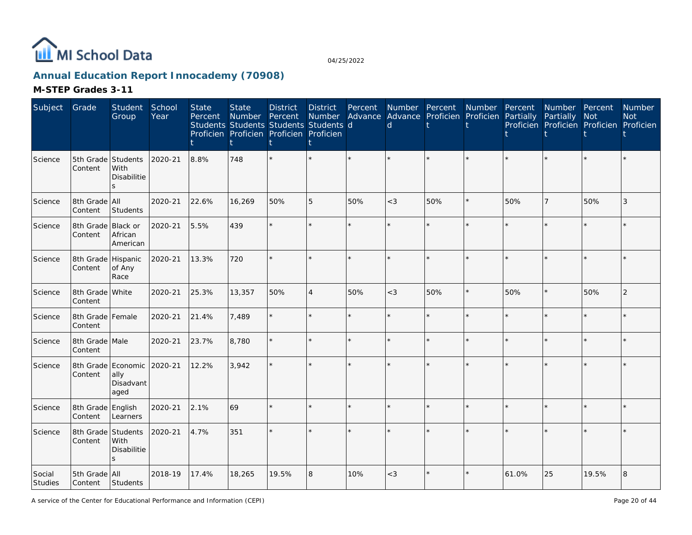

# **Annual Education Report Innocademy (70908)**

| Subject           | Grade                         | Student School<br>Group                    | Year    | <b>State</b><br>Percent | <b>State</b><br><b>Number</b><br>Students Students Students Students d<br>Proficien Proficien Proficien Proficien | <b>District</b><br>Percent | <b>District</b><br><b>Number</b> | Percent | $\mathsf{d}$ | Number Percent<br>Advance Advance Proficien Proficien Partially | Number  | Percent | Number Percent<br>Partially | <b>Not</b><br>Proficien Proficien Proficien Proficien | <b>Number</b><br><b>Not</b> |
|-------------------|-------------------------------|--------------------------------------------|---------|-------------------------|-------------------------------------------------------------------------------------------------------------------|----------------------------|----------------------------------|---------|--------------|-----------------------------------------------------------------|---------|---------|-----------------------------|-------------------------------------------------------|-----------------------------|
| Science           | 5th Grade Students<br>Content | With<br><b>Disabilitie</b><br>$\mathbf{S}$ | 2020-21 | 8.8%                    | 748                                                                                                               |                            |                                  |         |              | k.                                                              |         |         |                             |                                                       |                             |
| Science           | 8th Grade All<br>Content      | Students                                   | 2020-21 | 22.6%                   | 16,269                                                                                                            | 50%                        | 5                                | 50%     | $<$ 3        | 50%                                                             | $\star$ | 50%     |                             | 50%                                                   | 3                           |
| Science           | 8th Grade<br>Content          | Black or<br>African<br>American            | 2020-21 | 5.5%                    | 439                                                                                                               |                            | $\star$                          |         |              | $\star$                                                         |         |         |                             |                                                       |                             |
| Science           | 8th Grade Hispanic<br>Content | of Any<br>Race                             | 2020-21 | 13.3%                   | 720                                                                                                               |                            | $\star$                          |         |              | $\star$                                                         |         |         |                             |                                                       |                             |
| Science           | 8th Grade White<br>Content    |                                            | 2020-21 | 25.3%                   | 13,357                                                                                                            | 50%                        | $\overline{4}$                   | 50%     | $<$ 3        | 50%                                                             | $\star$ | 50%     |                             | 50%                                                   | $\overline{2}$              |
| Science           | 8th Grade Female<br>Content   |                                            | 2020-21 | 21.4%                   | 7,489                                                                                                             |                            | $\star$                          | $\star$ |              | $\star$                                                         | $\star$ |         |                             | $\star$                                               |                             |
| Science           | 8th Grade Male<br>Content     |                                            | 2020-21 | 23.7%                   | 8,780                                                                                                             |                            | $\star$                          |         |              | $\star$                                                         | $\star$ |         |                             | $\star$                                               |                             |
| Science           | 8th Grade<br>Content          | Economic<br>ally<br>Disadvant<br>aged      | 2020-21 | 12.2%                   | 3.942                                                                                                             |                            | $\star$                          |         |              | $\star$                                                         |         |         |                             | $\star$                                               |                             |
| Science           | 8th Grade English<br>Content  | Learners                                   | 2020-21 | 2.1%                    | 69                                                                                                                |                            | $\star$                          |         |              | $\star$                                                         |         |         |                             |                                                       |                             |
| Science           | 8th Grade<br>Content          | Students<br>With<br>Disabilitie<br>S       | 2020-21 | 4.7%                    | 351                                                                                                               |                            | $\star$                          |         |              | $\star$                                                         |         |         |                             |                                                       |                             |
| Social<br>Studies | 5th Grade All<br>Content      | Students                                   | 2018-19 | 17.4%                   | 18,265                                                                                                            | 19.5%                      | 8                                | 10%     | $<$ 3        | $\star$                                                         |         | 61.0%   | 25                          | 19.5%                                                 | 8                           |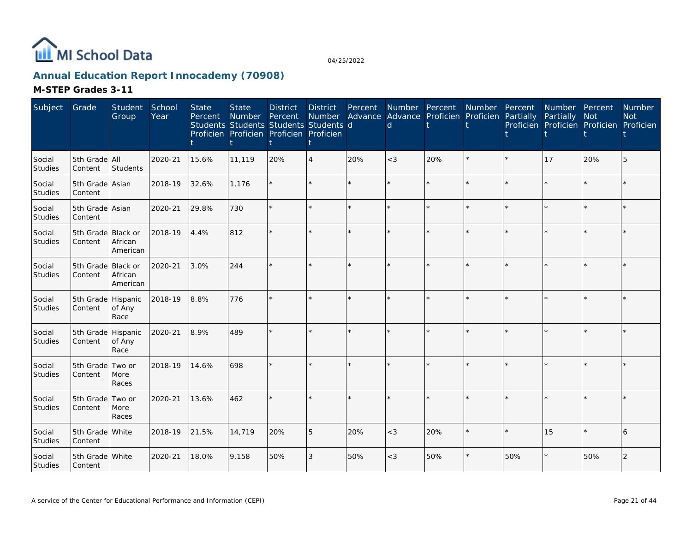

# **Annual Education Report Innocademy (70908)**

| Subject                  | Grade                         | Student<br>Group                       | School<br>Year | <b>State</b><br>Percent | <b>State</b><br>Number<br>Students Students Students Students d<br>Proficien Proficien Proficien Proficien | <b>District</b><br>Percent | <b>District</b><br><b>Number</b> | Percent<br>Advance | <sub>d</sub> | Number Percent<br>Advance Proficien Proficien | Number  | Percent<br>Partially | Number Percent<br>Partially<br>Proficien Proficien Proficien Proficien | <b>Not</b> | Number<br><b>Not</b> |
|--------------------------|-------------------------------|----------------------------------------|----------------|-------------------------|------------------------------------------------------------------------------------------------------------|----------------------------|----------------------------------|--------------------|--------------|-----------------------------------------------|---------|----------------------|------------------------------------------------------------------------|------------|----------------------|
| Social<br>Studies        | 5th Grade All<br>Content      | Students                               | 2020-21        | 15.6%                   | 11,119                                                                                                     | 20%                        | $\overline{4}$                   | 20%                | $<$ 3        | 20%                                           | $\star$ | $\star$              | 17                                                                     | 20%        | 5                    |
| Social<br>Studies        | 5th Grade Asian<br>Content    |                                        | 2018-19        | 32.6%                   | 1,176                                                                                                      |                            | ÷.                               |                    |              | ÷.                                            | $\star$ |                      |                                                                        | ÷.         |                      |
| Social<br>Studies        | 5th Grade Asian<br>Content    |                                        | 2020-21        | 29.8%                   | 730                                                                                                        |                            | $\star$                          | $\star$            |              | $\star$                                       | $\star$ |                      |                                                                        | $\star$    |                      |
| Social<br>Studies        | 5th Grade Black or<br>Content | African<br>American                    | 2018-19        | 4.4%                    | 812                                                                                                        |                            | ÷.                               |                    |              |                                               |         |                      |                                                                        |            |                      |
| Social<br><b>Studies</b> | 5th Grade<br>Content          | <b>Black or</b><br>African<br>American | 2020-21        | 3.0%                    | 244                                                                                                        |                            |                                  |                    |              |                                               |         |                      |                                                                        |            |                      |
| Social<br>Studies        | 5th Grade Hispanic<br>Content | of Any<br>Race                         | 2018-19        | 8.8%                    | 776                                                                                                        |                            | $\star$                          | ÷.                 |              | $\star$                                       | ÷.      |                      |                                                                        | $\star$    |                      |
| Social<br>Studies        | 5th Grade Hispanic<br>Content | of Any<br>Race                         | 2020-21        | 8.9%                    | 489                                                                                                        |                            | $\star$                          | $\star$            |              | ÷.                                            | $\star$ |                      |                                                                        | $\star$    |                      |
| Social<br><b>Studies</b> | 5th Grade<br>Content          | Two or<br>More<br>Races                | 2018-19        | 14.6%                   | 698                                                                                                        |                            |                                  | ÷.                 |              |                                               |         |                      |                                                                        | ÷.         |                      |
| Social<br><b>Studies</b> | 5th Grade<br>Content          | Two or<br>More<br>Races                | 2020-21        | 13.6%                   | 462                                                                                                        |                            | $\star$                          | ÷.                 |              | $\star$                                       |         |                      |                                                                        | $\star$    |                      |
| Social<br>Studies        | 5th Grade White<br>Content    |                                        | 2018-19        | 21.5%                   | 14,719                                                                                                     | 20%                        | 5                                | 20%                | $<$ 3        | 20%                                           | $\star$ |                      | 15                                                                     | $\star$    | 6                    |
| Social<br>Studies        | 5th Grade White<br>Content    |                                        | 2020-21        | 18.0%                   | 9,158                                                                                                      | 50%                        | 3                                | 50%                | $<$ 3        | 50%                                           |         | 50%                  | $\star$                                                                | 50%        | $\overline{2}$       |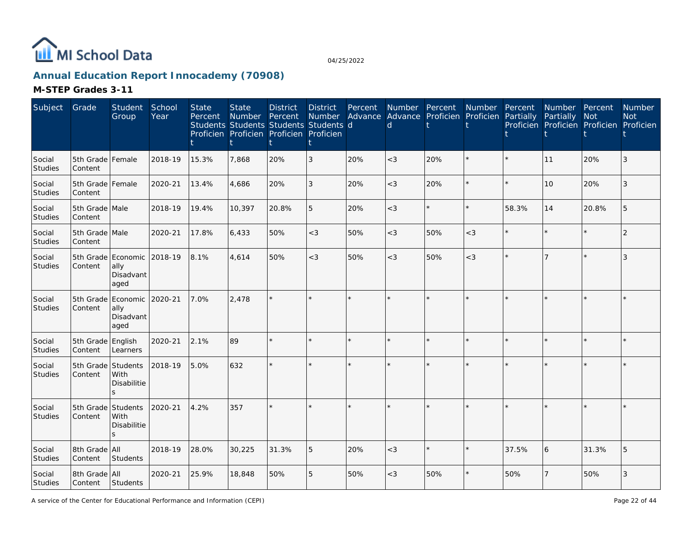

# **Annual Education Report Innocademy (70908)**

| Subject                  | Grade                         | Student<br>Group                                | School<br>Year | <b>State</b><br>Percent | <b>State</b><br><b>Number</b><br>Students Students Students Students d<br>Proficien Proficien Proficien Proficien | <b>District</b><br>Percent | <b>District</b><br><b>Number</b> | Percent | Number Percent<br>d. | Advance Advance Proficien Proficien Partially | Number Percent |       | <b>Number</b><br>Partially<br>Proficien Proficien Proficien Proficien | Percent<br>Not | Number<br><b>Not</b> |
|--------------------------|-------------------------------|-------------------------------------------------|----------------|-------------------------|-------------------------------------------------------------------------------------------------------------------|----------------------------|----------------------------------|---------|----------------------|-----------------------------------------------|----------------|-------|-----------------------------------------------------------------------|----------------|----------------------|
| Social<br><b>Studies</b> | 5th Grade Female<br>Content   |                                                 | 2018-19        | 15.3%                   | 7.868                                                                                                             | 20%                        | 3                                | 20%     | $<$ 3                | 20%                                           | $\star$        |       | 11                                                                    | 20%            |                      |
| Social<br>Studies        | 5th Grade Female<br>Content   |                                                 | 2020-21        | 13.4%                   | 4.686                                                                                                             | 20%                        | 3                                | 20%     | $<$ 3                | 20%                                           | $\star$        |       | 10                                                                    | 20%            | 3                    |
| Social<br>Studies        | 5th Grade Male<br>Content     |                                                 | 2018-19        | 19.4%                   | 10,397                                                                                                            | 20.8%                      | 5                                | 20%     | $<$ 3                |                                               | $\star$        | 58.3% | 14                                                                    | 20.8%          |                      |
| Social<br>Studies        | 5th Grade Male<br>Content     |                                                 | 2020-21        | 17.8%                   | 6,433                                                                                                             | 50%                        | $<$ 3                            | 50%     | $<$ 3                | 50%                                           | $<$ 3          |       |                                                                       | $\star$        |                      |
| Social<br><b>Studies</b> | Content                       | 5th Grade Economic<br>ally<br>Disadvant<br>aged | 2018-19        | 8.1%                    | 4,614                                                                                                             | 50%                        | $<$ 3                            | 50%     | $<$ 3                | 50%                                           | $<$ 3          |       |                                                                       |                | 3                    |
| Social<br>Studies        | Content                       | 5th Grade Economic<br>ally<br>Disadvant<br>aged | 2020-21        | 7.0%                    | 2,478                                                                                                             |                            |                                  |         |                      |                                               |                |       |                                                                       |                |                      |
| Social<br>Studies        | 5th Grade English<br>Content  | Learners                                        | 2020-21        | 2.1%                    | 89                                                                                                                |                            | $\star$                          | $\star$ |                      |                                               | $\star$        |       |                                                                       | $\star$        |                      |
| Social<br>Studies        | 5th Grade Students<br>Content | With<br>Disabilitie<br>S.                       | 2018-19        | 5.0%                    | 632                                                                                                               |                            |                                  |         |                      |                                               |                |       |                                                                       |                |                      |
| Social<br>Studies        | 5th Grade Students<br>Content | With<br>Disabilitie<br>$\mathbf{S}$             | 2020-21        | 4.2%                    | 357                                                                                                               |                            |                                  |         |                      |                                               |                |       |                                                                       |                |                      |
| Social<br>Studies        | 8th Grade All<br>Content      | Students                                        | 2018-19        | 28.0%                   | 30,225                                                                                                            | 31.3%                      | 5                                | 20%     | $<$ 3                |                                               | $\star$        | 37.5% | 6                                                                     | 31.3%          | 5                    |
| Social<br>Studies        | 8th Grade All<br>Content      | Students                                        | 2020-21        | 25.9%                   | 18,848                                                                                                            | 50%                        | 5                                | 50%     | $<$ 3                | 50%                                           |                | 50%   |                                                                       | 50%            | 3                    |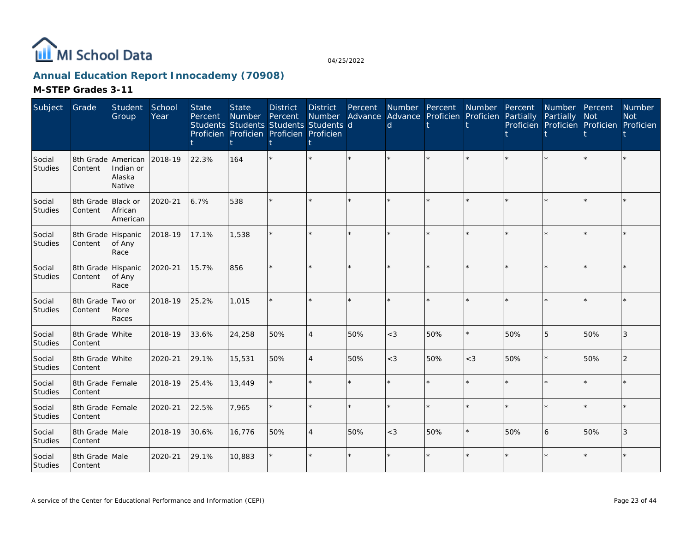

# **Annual Education Report Innocademy (70908)**

| Subject                  | Grade                         | Student<br>Group                                    | School<br>Year | <b>State</b><br>Percent | <b>State</b><br>Number | <b>District</b><br>Percent<br>Students Students Students Students d<br>Proficien Proficien Proficien Proficien | <b>District</b><br>Number | Percent<br>Advance | Number Percent<br>$\mathsf{d}$ | Advance Proficien | Number<br>Proficien | Percent<br>Partially | Number Percent<br>Partially | Not<br>Proficien Proficien Proficien Proficien | <b>Number</b><br><b>Not</b> |
|--------------------------|-------------------------------|-----------------------------------------------------|----------------|-------------------------|------------------------|----------------------------------------------------------------------------------------------------------------|---------------------------|--------------------|--------------------------------|-------------------|---------------------|----------------------|-----------------------------|------------------------------------------------|-----------------------------|
| Social<br>Studies        | Content                       | 8th Grade American<br>Indian or<br>Alaska<br>Native | 2018-19        | 22.3%                   | 164                    |                                                                                                                | $\star$                   |                    |                                |                   |                     |                      |                             |                                                |                             |
| Social<br>Studies        | 8th Grade Black or<br>Content | African<br>American                                 | 2020-21        | 6.7%                    | 538                    |                                                                                                                | $\star$                   |                    |                                |                   |                     |                      |                             |                                                |                             |
| Social<br>Studies        | 8th Grade Hispanic<br>Content | of Any<br>Race                                      | 2018-19        | 17.1%                   | 1,538                  |                                                                                                                | $\star$                   | $\star$            |                                |                   |                     |                      |                             | $\star$                                        |                             |
| Social<br>Studies        | 8th Grade Hispanic<br>Content | of Any<br>Race                                      | 2020-21        | 15.7%                   | 856                    |                                                                                                                | ÷.                        |                    |                                |                   |                     |                      |                             | $\star$                                        |                             |
| Social<br>Studies        | 8th Grade<br>Content          | Two or<br>More<br>Races                             | 2018-19        | 25.2%                   | 1,015                  |                                                                                                                | ÷.                        |                    |                                |                   |                     |                      |                             | $\star$                                        |                             |
| Social<br>Studies        | 8th Grade White<br>Content    |                                                     | 2018-19        | 33.6%                   | 24,258                 | 50%                                                                                                            | $\overline{4}$            | 50%                | $<$ 3                          | 50%               | $\star$             | 50%                  | 5                           | 50%                                            | 3                           |
| Social<br><b>Studies</b> | 8th Grade White<br>Content    |                                                     | 2020-21        | 29.1%                   | 15,531                 | 50%                                                                                                            | $\overline{4}$            | 50%                | $<$ 3                          | 50%               | $<$ 3               | 50%                  |                             | 50%                                            | 2                           |
| Social<br>Studies        | 8th Grade Female<br>Content   |                                                     | 2018-19        | 25.4%                   | 13,449                 |                                                                                                                | $\star$                   | $\star$            |                                |                   |                     |                      |                             | $\star$                                        |                             |
| Social<br>Studies        | 8th Grade Female<br>Content   |                                                     | 2020-21        | 22.5%                   | 7,965                  |                                                                                                                | $\star$                   | $\Phi$             |                                |                   |                     |                      |                             | ÷                                              |                             |
| Social<br>Studies        | 8th Grade Male<br>Content     |                                                     | 2018-19        | 30.6%                   | 16,776                 | 50%                                                                                                            | $\overline{4}$            | 50%                | $<$ 3                          | 50%               | $\star$             | 50%                  | 6                           | 50%                                            | 3                           |
| Social<br>Studies        | 8th Grade Male<br>Content     |                                                     | 2020-21        | 29.1%                   | 10,883                 |                                                                                                                | $\star$                   |                    |                                |                   |                     |                      |                             |                                                |                             |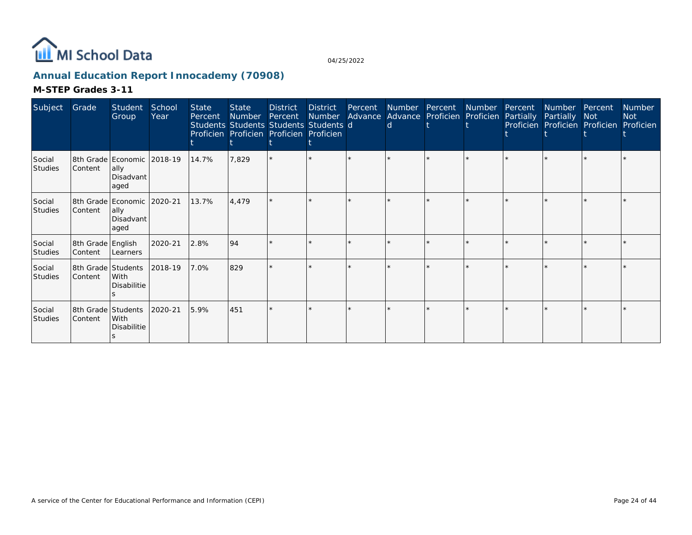

# **Annual Education Report Innocademy (70908)**

| Subject                  | Grade                         | Student<br>Group                                         | School<br>Year | <b>State</b><br>Percent | State<br>Number<br>Students Students Students Students d<br>Proficien Proficien Proficien Proficien | <b>District</b><br>Percent | District<br>Number | Percent Number Percent | d. | Advance Advance Proficien Proficien Partially | Number Percent | Number Percent<br>Partially Not<br>Proficien Proficien Proficien Proficien | <b>Number</b><br><b>Not</b> |
|--------------------------|-------------------------------|----------------------------------------------------------|----------------|-------------------------|-----------------------------------------------------------------------------------------------------|----------------------------|--------------------|------------------------|----|-----------------------------------------------|----------------|----------------------------------------------------------------------------|-----------------------------|
| Social<br><b>Studies</b> | Content                       | 8th Grade Economic 2018-19<br> ally<br>Disadvant<br>aged |                | 14.7%                   | 7,829                                                                                               |                            |                    |                        |    |                                               |                |                                                                            |                             |
| Social<br>Studies        | Content                       | 8th Grade Economic 2020-21<br>ally<br>Disadvant<br>aged  |                | 13.7%                   | 4,479                                                                                               |                            |                    |                        |    |                                               |                | $\star$                                                                    |                             |
| Social<br>Studies        | 8th Grade English<br>Content  | Learners                                                 | 2020-21        | 2.8%                    | 94                                                                                                  |                            |                    |                        |    |                                               |                |                                                                            |                             |
| Social<br>Studies        | 8th Grade Students<br>Content | With<br>Disabilitie                                      | 2018-19        | 7.0%                    | 829                                                                                                 |                            |                    |                        |    |                                               |                | $\star$                                                                    |                             |
| Social<br>Studies        | 8th Grade Students<br>Content | With<br>Disabilitie                                      | 2020-21        | 5.9%                    | 451                                                                                                 |                            |                    |                        |    |                                               |                |                                                                            |                             |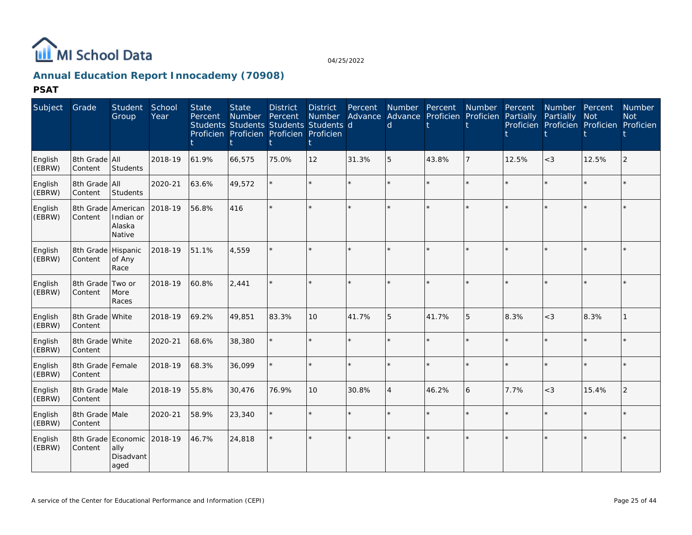

# **Annual Education Report Innocademy (70908)**

**PSAT**

| Subject           | Grade                         | <b>Student</b><br>Group       | School<br>Year | <b>State</b><br>Percent | <b>State</b><br>Number<br>Students Students Students Students d<br>Proficien Proficien Proficien Proficien | <b>District</b><br>Percent | <b>District</b><br>Number | Percent<br>Advance Advance Proficien | Number Percent<br><sub>d</sub> |         | Number<br>Proficien | Percent<br>Partially | <b>Number</b><br>Partially<br>Proficien Proficien Proficien | Percent<br>Not | <b>Number</b><br><b>Not</b><br>Proficien |
|-------------------|-------------------------------|-------------------------------|----------------|-------------------------|------------------------------------------------------------------------------------------------------------|----------------------------|---------------------------|--------------------------------------|--------------------------------|---------|---------------------|----------------------|-------------------------------------------------------------|----------------|------------------------------------------|
| English<br>(EBRW) | 8th Grade   All<br>Content    | <b>Students</b>               | 2018-19        | 61.9%                   | 66,575                                                                                                     | 75.0%                      | 12                        | 31.3%                                | 5                              | 43.8%   | 7                   | 12.5%                | $<\!3$                                                      | 12.5%          | 2                                        |
| English<br>(EBRW) | 8th Grade All<br>Content      | Students                      | 2020-21        | 63.6%                   | 49,572                                                                                                     |                            | $\star$                   | $\star$                              |                                | $\star$ | $\star$             |                      |                                                             | $\star$        |                                          |
| English<br>(EBRW) | 8th Grade American<br>Content | Indian or<br>Alaska<br>Native | 2018-19        | 56.8%                   | 416                                                                                                        |                            | $\star$                   |                                      |                                | $\star$ | $\star$             |                      |                                                             | $\star$        |                                          |
| English<br>(EBRW) | 8th Grade Hispanic<br>Content | of Any<br>Race                | 2018-19        | 51.1%                   | 4,559                                                                                                      |                            | $\star$                   |                                      |                                | $\star$ | $\star$             |                      |                                                             |                |                                          |
| English<br>(EBRW) | 8th Grade<br>Content          | Two or<br>More<br>Races       | 2018-19        | 60.8%                   | 2,441                                                                                                      |                            | $\star$                   |                                      |                                | $\star$ | $\star$             |                      |                                                             | $\star$        |                                          |
| English<br>(EBRW) | 8th Grade White<br>Content    |                               | 2018-19        | 69.2%                   | 49,851                                                                                                     | 83.3%                      | 10 <sup>1</sup>           | 41.7%                                | 5                              | 41.7%   | 5                   | 8.3%                 | $<$ 3                                                       | 8.3%           |                                          |
| English<br>(EBRW) | 8th Grade White<br>Content    |                               | 2020-21        | 68.6%                   | 38,380                                                                                                     |                            | $\star$                   | ÷.                                   |                                | $\star$ | $\star$             |                      |                                                             | $\star$        |                                          |
| English<br>(EBRW) | 8th Grade Female<br>Content   |                               | 2018-19        | 68.3%                   | 36,099                                                                                                     |                            | $\star$                   | ÷.                                   | $\star$                        | $\star$ |                     | $\star$              |                                                             | $\star$        |                                          |
| English<br>(EBRW) | 8th Grade Male<br>Content     |                               | 2018-19        | 55.8%                   | 30,476                                                                                                     | 76.9%                      | 10                        | 30.8%                                | $\overline{A}$                 | 46.2%   | 6                   | 7.7%                 | $<$ 3                                                       | 15.4%          | $\overline{2}$                           |
| English<br>(EBRW) | 8th Grade Male<br>Content     |                               | 2020-21        | 58.9%                   | 23,340                                                                                                     |                            | $\star$                   | $\star$                              |                                | $\star$ | $\star$             |                      |                                                             | $\star$        |                                          |
| English<br>(EBRW) | 8th Grade Economic<br>Content | ally<br>Disadvant<br>aged     | 2018-19        | 46.7%                   | 24,818                                                                                                     |                            | $\star$                   | ÷.                                   |                                | $\star$ | $\star$             |                      |                                                             | $\star$        |                                          |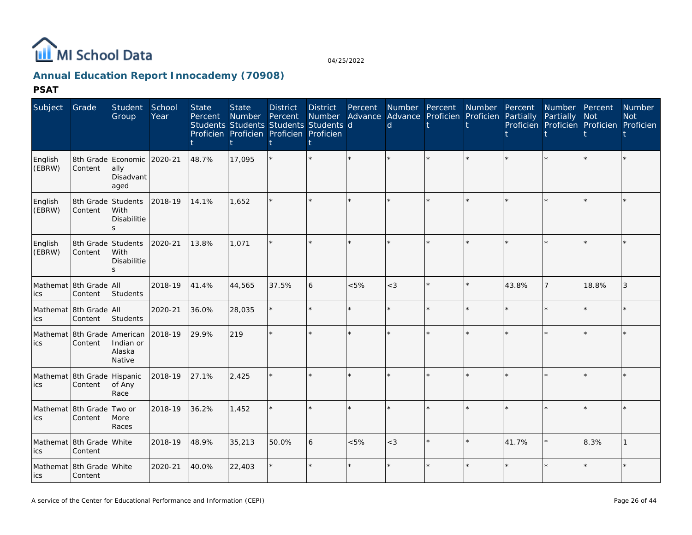

# **Annual Education Report Innocademy (70908)**

**PSAT**

| Subject           | Grade                                  | Student<br>Group                                        | School<br>Year | <b>State</b><br>Percent | <b>State</b><br>Number Percent<br>Students Students Students Students d<br>Proficien Proficien Proficien Proficien | <b>District</b> | <b>District</b><br><b>Number</b> | Percent | Number Percent<br>Advance Advance Proficien Proficien Partially<br><sub>d</sub> |         | <b>Number</b> | Percent | Number Percent<br>Partially<br>Proficien Proficien Proficien Proficien | <b>Not</b> | <b>Number</b><br><b>Not</b> |
|-------------------|----------------------------------------|---------------------------------------------------------|----------------|-------------------------|--------------------------------------------------------------------------------------------------------------------|-----------------|----------------------------------|---------|---------------------------------------------------------------------------------|---------|---------------|---------|------------------------------------------------------------------------|------------|-----------------------------|
| English<br>(EBRW) | Content                                | 8th Grade Economic 2020-21<br>ally<br>Disadvant<br>aged |                | 48.7%                   | 17,095                                                                                                             |                 |                                  |         |                                                                                 |         |               |         |                                                                        |            |                             |
| English<br>(EBRW) | 8th Grade Students<br>Content          | With<br>Disabilitie<br>$\mathcal{S}$                    | 2018-19        | 14.1%                   | 1,652                                                                                                              |                 |                                  |         |                                                                                 |         |               |         | $\star$                                                                |            |                             |
| English<br>(EBRW) | 8th Grade Students<br>Content          | With<br>Disabilitie                                     | 2020-21        | 13.8%                   | 1,071                                                                                                              |                 |                                  |         |                                                                                 |         |               |         | $\star$                                                                |            |                             |
| ics               | Mathemat 8th Grade All<br>Content      | Students                                                | 2018-19        | 41.4%                   | 44,565                                                                                                             | 37.5%           | 6                                | &5%     | $<$ 3                                                                           | $\star$ |               | 43.8%   | 7                                                                      | 18.8%      | 3                           |
| ics               | Mathemat 8th Grade All<br>Content      | Students                                                | 2020-21        | 36.0%                   | 28,035                                                                                                             |                 |                                  | ÷       |                                                                                 |         |               |         | $\star$                                                                | $\star$    |                             |
| ics               | Mathemat 8th Grade American<br>Content | Indian or<br>Alaska<br>Native                           | 2018-19        | 29.9%                   | 219                                                                                                                |                 |                                  |         |                                                                                 |         |               |         | $\star$                                                                |            |                             |
| ics               | Mathemat 8th Grade Hispanic<br>Content | of Any<br>Race                                          | 2018-19        | 27.1%                   | 2,425                                                                                                              |                 |                                  |         |                                                                                 | $\star$ |               |         | $\star$                                                                |            |                             |
| ics               | Mathemat 8th Grade Two or<br>Content   | More<br>Races                                           | 2018-19        | 36.2%                   | 1,452                                                                                                              |                 |                                  | $\star$ |                                                                                 | $\star$ |               |         | $\star$                                                                | $\star$    |                             |
| ics               | Mathemat 8th Grade White<br>Content    |                                                         | 2018-19        | 48.9%                   | 35,213                                                                                                             | 50.0%           | 6                                | &5%     | $<$ 3                                                                           | $\star$ |               | 41.7%   | ×                                                                      | 8.3%       |                             |
| lics              | Mathemat 8th Grade White<br>Content    |                                                         | 2020-21        | 40.0%                   | 22,403                                                                                                             |                 |                                  | ×.      |                                                                                 |         |               |         | $\star$                                                                | $\star$    |                             |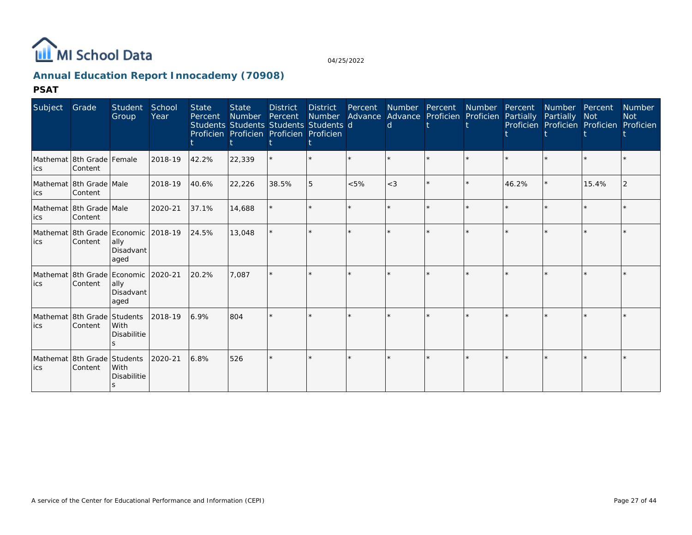

# **Annual Education Report Innocademy (70908)**

**PSAT**

| Subject | Grade                                          | Student<br>Group                  | School<br>Year | <b>State</b><br>Percent | <b>State</b><br>Number<br>Students Students Students Students d<br>Proficien Proficien Proficien Proficien | <b>District</b><br>Percent | District<br>Number | Percent<br>Advance | Number Percent<br><sub>d</sub> | Advance Proficien | <b>Number</b><br>Proficien | Percent<br>Partially | Number<br>Partially<br>Proficien Proficien Proficien | Percent<br><b>Not</b> | <b>Number</b><br><b>Not</b><br>Proficien |
|---------|------------------------------------------------|-----------------------------------|----------------|-------------------------|------------------------------------------------------------------------------------------------------------|----------------------------|--------------------|--------------------|--------------------------------|-------------------|----------------------------|----------------------|------------------------------------------------------|-----------------------|------------------------------------------|
| ics     | Mathemat 8th Grade Female<br>Content           |                                   | 2018-19        | 42.2%                   | 22,339                                                                                                     |                            |                    |                    |                                |                   |                            |                      |                                                      | $\star$               |                                          |
| ics     | Mathemat 8th Grade Male<br>Content             |                                   | 2018-19        | 40.6%                   | 22,226                                                                                                     | 38.5%                      | 5                  | < 5%               | $<$ 3                          |                   |                            | 46.2%                | $\star$                                              | 15.4%                 |                                          |
| ics     | Mathemat 18th Grade   Male<br>Content          |                                   | 2020-21        | 37.1%                   | 14,688                                                                                                     |                            |                    |                    |                                |                   |                            |                      | $\star$                                              | $\star$               |                                          |
| lics    | Mathemat 8th Grade Economic 2018-19<br>Content | ally<br>Disadvant<br>aged         |                | 24.5%                   | 13,048                                                                                                     |                            |                    |                    |                                |                   |                            |                      |                                                      |                       |                                          |
| ics     | Mathemat 8th Grade Economic 2020-21<br>Content | ally<br>Disadvant<br>aged         |                | 20.2%                   | 7.087                                                                                                      |                            |                    |                    |                                |                   |                            |                      | $\star$                                              |                       |                                          |
| lics    | Mathemat 8th Grade Students<br>Content         | <b>With</b><br><b>Disabilitie</b> | 2018-19        | 6.9%                    | 804                                                                                                        |                            |                    |                    |                                |                   |                            |                      |                                                      |                       |                                          |
| lics    | Mathemat 8th Grade Students<br>Content         | With<br>Disabilitie               | 2020-21        | 6.8%                    | 526                                                                                                        |                            |                    |                    |                                |                   |                            |                      | ×.                                                   |                       |                                          |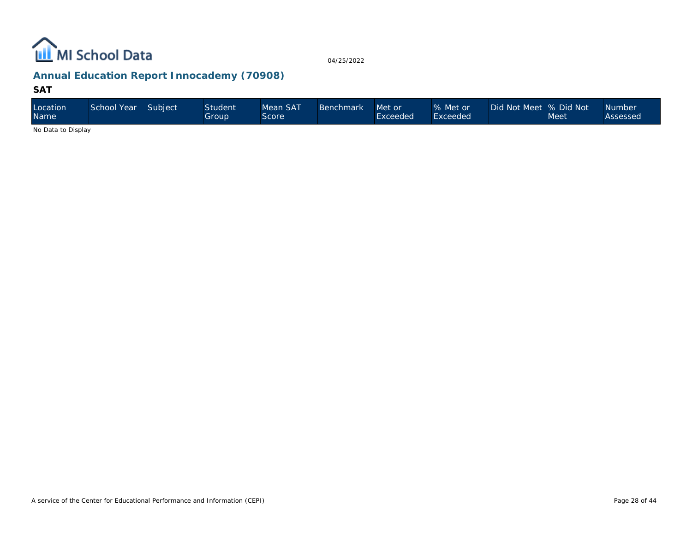

# **Annual Education Report Innocademy (70908)**

#### **SAT**

| Location<br><b>Name</b>                                                                   | School Year | Subject | Student <sup>®</sup><br>Group | Mean SAT<br>Score | Benchmark | Met or<br>Exceeded | % Met or<br>Exceeded | Did Not Meet  % Did Not | Meet | Number<br>Assessed |
|-------------------------------------------------------------------------------------------|-------------|---------|-------------------------------|-------------------|-----------|--------------------|----------------------|-------------------------|------|--------------------|
| $\mathbf{A}$ . $\mathbf{B}$ . $\mathbf{A}$ . $\mathbf{B}$ . $\mathbf{B}$ . $\mathbf{A}$ . |             |         |                               |                   |           |                    |                      |                         |      |                    |

No Data to Display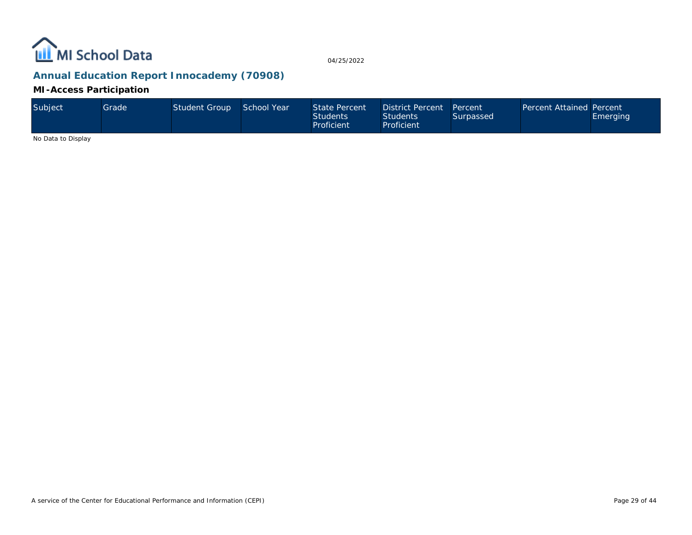

# **Annual Education Report Innocademy (70908)**

#### **MI-Access Participation**

| Subject | Gradel | Student Group | School Year | State Percent<br><b>Students</b><br>Proficient | District Percent<br>Students <sup>1</sup><br>Proficient | Percent<br>Surpassed | <b>Percent Attained Percent</b> | Emerging |
|---------|--------|---------------|-------------|------------------------------------------------|---------------------------------------------------------|----------------------|---------------------------------|----------|
|---------|--------|---------------|-------------|------------------------------------------------|---------------------------------------------------------|----------------------|---------------------------------|----------|

No Data to Display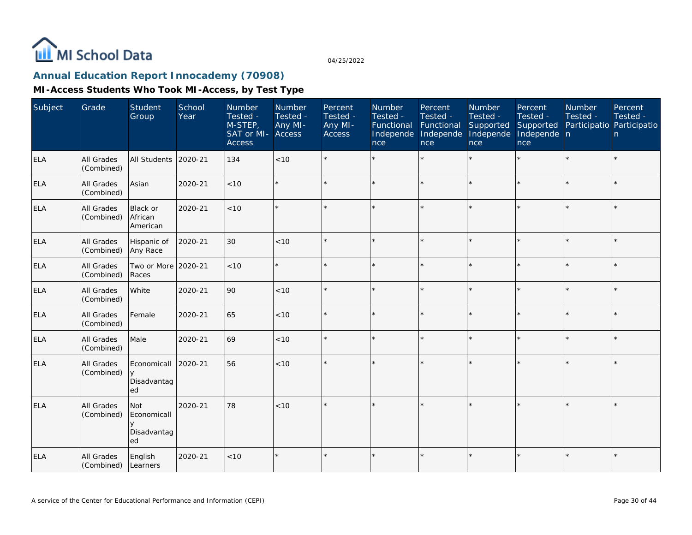

# **Annual Education Report Innocademy (70908)**

| Subject    | Grade                    | Student<br>Group                           | School<br>Year | Number<br>Tested -<br>M-STEP,<br>SAT or MI-<br><b>Access</b> | Number<br>Tested -<br>Any MI-<br>Access | Percent<br>Tested -<br>Any MI-<br>Access | Number<br>Tested -<br>Functional<br>Independe<br>nce | Percent<br>Tested -<br>Functional<br>Independe<br>nce | Number<br>Tested -<br>Supported<br>Independe<br>nce | Percent<br>Tested -<br>Supported<br>Independe n<br>nce | <b>Number</b><br>Tested -<br>Participatio Participatio | Percent<br>Tested -<br>n. |
|------------|--------------------------|--------------------------------------------|----------------|--------------------------------------------------------------|-----------------------------------------|------------------------------------------|------------------------------------------------------|-------------------------------------------------------|-----------------------------------------------------|--------------------------------------------------------|--------------------------------------------------------|---------------------------|
| <b>ELA</b> | All Grades<br>(Combined) | <b>All Students</b>                        | 2020-21        | 134                                                          | $<10$                                   |                                          |                                                      |                                                       |                                                     | ×.                                                     |                                                        | $\star$                   |
| <b>ELA</b> | All Grades<br>(Combined) | Asian                                      | 2020-21        | < 10                                                         |                                         |                                          |                                                      | $\star$                                               | ÷                                                   | $\star$                                                | $\star$                                                | $\star$                   |
| <b>ELA</b> | All Grades<br>(Combined) | <b>Black or</b><br>African<br>American     | 2020-21        | < 10                                                         |                                         |                                          |                                                      |                                                       | ÷                                                   |                                                        |                                                        | $\star$                   |
| ELA        | All Grades<br>(Combined) | Hispanic of<br>Any Race                    | 2020-21        | 30                                                           | $<10$                                   | $\star$                                  |                                                      |                                                       |                                                     |                                                        | $\star$                                                | $\star$                   |
| <b>ELA</b> | All Grades<br>(Combined) | Two or More<br>Races                       | 2020-21        | < 10                                                         |                                         |                                          |                                                      | $\star$                                               | ÷                                                   |                                                        |                                                        | $\star$                   |
| <b>ELA</b> | All Grades<br>(Combined) | White                                      | 2020-21        | 90                                                           | < 10                                    | $\star$                                  |                                                      | $\star$                                               | ÷                                                   | $\star$                                                | $\star$                                                | $\star$                   |
| <b>ELA</b> | All Grades<br>(Combined) | Female                                     | 2020-21        | 65                                                           | < 10                                    |                                          |                                                      |                                                       | ÷                                                   | ×.                                                     |                                                        | $\star$                   |
| <b>ELA</b> | All Grades<br>(Combined) | Male                                       | 2020-21        | 69                                                           | < 10                                    |                                          |                                                      |                                                       |                                                     | sk.                                                    |                                                        | $\star$                   |
| ELA        | All Grades<br>(Combined) | Economicall<br>$\vee$<br>Disadvantag<br>ed | 2020-21        | 56                                                           | < 10                                    |                                          |                                                      |                                                       |                                                     |                                                        |                                                        | $\star$                   |
| ELA        | All Grades<br>(Combined) | Not<br>Economicall<br>Disadvantag<br>ed    | 2020-21        | 78                                                           | < 10                                    |                                          |                                                      |                                                       |                                                     |                                                        |                                                        | $\star$                   |
| <b>ELA</b> | All Grades<br>(Combined) | English<br>Learners                        | 2020-21        | < 10                                                         |                                         |                                          |                                                      |                                                       |                                                     |                                                        |                                                        | $\star$                   |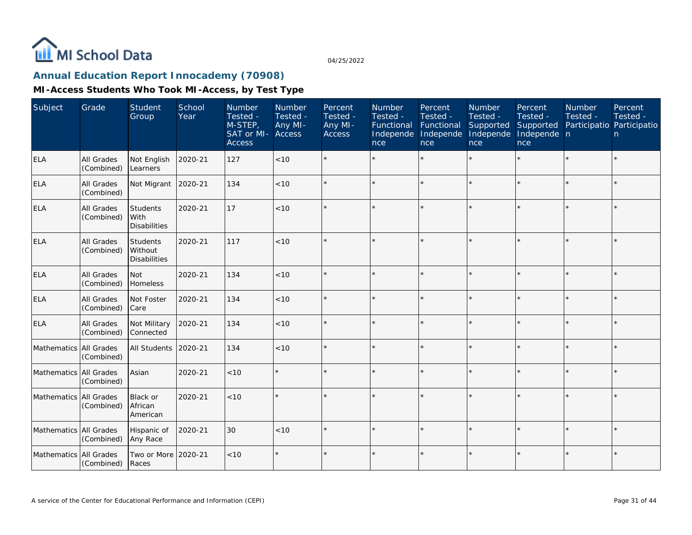

# **Annual Education Report Innocademy (70908)**

| Subject                | Grade                           | Student<br>Group                           | School<br>Year | <b>Number</b><br>Tested -<br>M-STEP,<br>SAT or MI- Access<br><b>Access</b> | <b>Number</b><br>Tested -<br>Any MI- | Percent<br>Tested -<br>Any MI-<br><b>Access</b> | Number<br>Tested -<br>Functional<br>Independe Independe<br>nce | Percent<br>Tested -<br>Functional<br>nce | <b>Number</b><br>Tested -<br>Supported<br>Independe<br>nce | Percent<br>Tested -<br>Supported<br>Independe n<br>nce | <b>Number</b><br>Tested -<br>Participatio Participatio | Percent<br>Tested -<br>n. |
|------------------------|---------------------------------|--------------------------------------------|----------------|----------------------------------------------------------------------------|--------------------------------------|-------------------------------------------------|----------------------------------------------------------------|------------------------------------------|------------------------------------------------------------|--------------------------------------------------------|--------------------------------------------------------|---------------------------|
| <b>ELA</b>             | <b>All Grades</b><br>(Combined) | Not English<br>Learners                    | 2020-21        | 127                                                                        | < 10                                 |                                                 |                                                                | $\star$                                  |                                                            |                                                        |                                                        | $\star$                   |
| <b>ELA</b>             | All Grades<br>(Combined)        | Not Migrant                                | 2020-21        | 134                                                                        | < 10                                 |                                                 |                                                                | $\star$                                  | ÷                                                          |                                                        |                                                        | ¥.                        |
| <b>ELA</b>             | <b>All Grades</b><br>(Combined) | Students<br>With<br><b>Disabilities</b>    | 2020-21        | 17                                                                         | $<10$                                |                                                 |                                                                | $\star$                                  | ÷                                                          |                                                        |                                                        | ¥.                        |
| ELA                    | All Grades<br>(Combined)        | Students<br>Without<br><b>Disabilities</b> | 2020-21        | 117                                                                        | < 10                                 |                                                 |                                                                | $\star$                                  |                                                            |                                                        |                                                        | $\star$                   |
| <b>ELA</b>             | <b>All Grades</b><br>(Combined) | <b>Not</b><br>Homeless                     | 2020-21        | 134                                                                        | < 10                                 |                                                 |                                                                | $\star$                                  |                                                            |                                                        |                                                        | $\star$                   |
| <b>ELA</b>             | All Grades<br>(Combined)        | Not Foster<br>Care                         | 2020-21        | 134                                                                        | < 10                                 | $\star$                                         |                                                                | $\star$                                  |                                                            |                                                        |                                                        | $\star$                   |
| <b>ELA</b>             | All Grades<br>(Combined)        | Not Military<br>Connected                  | 2020-21        | 134                                                                        | < 10                                 |                                                 |                                                                | $\star$                                  |                                                            |                                                        |                                                        | $\star$                   |
| Mathematics All Grades | (Combined)                      | All Students                               | 2020-21        | 134                                                                        | < 10                                 | $\star$                                         |                                                                | $\star$                                  |                                                            |                                                        |                                                        | $\star$                   |
| Mathematics All Grades | (Combined)                      | Asian                                      | 2020-21        | < 10                                                                       |                                      |                                                 |                                                                | $\star$                                  |                                                            |                                                        |                                                        |                           |
| Mathematics All Grades | (Combined)                      | Black or<br>African<br>American            | 2020-21        | $<10$                                                                      |                                      |                                                 |                                                                | $\star$                                  |                                                            |                                                        |                                                        |                           |
| Mathematics All Grades | (Combined)                      | Hispanic of<br>Any Race                    | 2020-21        | 30                                                                         | < 10                                 |                                                 |                                                                | $\star$                                  |                                                            |                                                        |                                                        | $\star$                   |
| Mathematics All Grades | (Combined)                      | Two or More 2020-21<br>Races               |                | $<10$                                                                      | $\star$                              |                                                 |                                                                | $\star$                                  |                                                            |                                                        |                                                        | $\star$                   |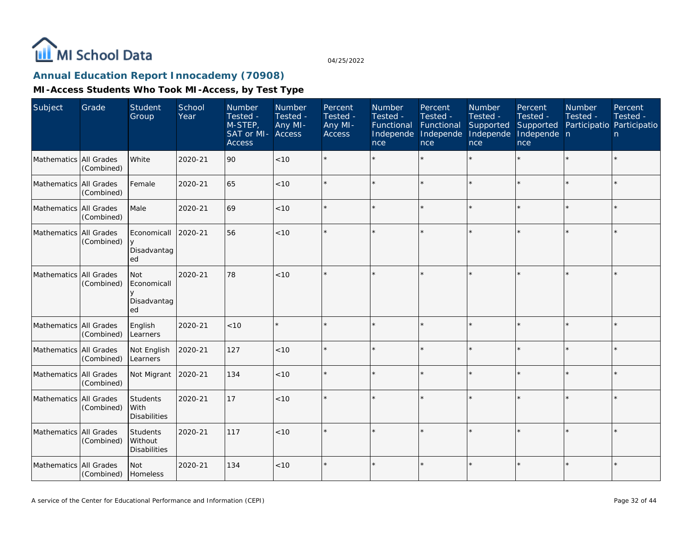

# **Annual Education Report Innocademy (70908)**

| Subject                  | Grade                    | Student<br>Group                           | School<br>Year | <b>Number</b><br>Tested -<br>M-STEP,<br>SAT or MI-<br><b>Access</b> | Number<br>Tested -<br>Any MI-<br>Access | Percent<br>Tested -<br>Any MI-<br>Access | Number<br>Tested -<br>Functional<br>Independe<br>nce | Percent<br>Tested -<br>Functional<br>Independe<br><b>nce</b> | Number<br>Tested -<br>Supported<br>Independe<br>nce | Percent<br>Tested -<br>Supported<br>Independe n<br>nce | <b>Number</b><br>Tested -<br>Participatio Participatio | Percent<br>Tested -<br>n |
|--------------------------|--------------------------|--------------------------------------------|----------------|---------------------------------------------------------------------|-----------------------------------------|------------------------------------------|------------------------------------------------------|--------------------------------------------------------------|-----------------------------------------------------|--------------------------------------------------------|--------------------------------------------------------|--------------------------|
| Mathematics All Grades   | (Combined)               | White                                      | 2020-21        | 90                                                                  | < 10                                    |                                          |                                                      |                                                              |                                                     |                                                        |                                                        | $\star$                  |
| Mathematics   All Grades | (Combined)               | Female                                     | 2020-21        | 65                                                                  | < 10                                    |                                          |                                                      |                                                              |                                                     |                                                        |                                                        | $\star$                  |
| Mathematics All Grades   | (Combined)               | Male                                       | 2020-21        | 69                                                                  | $<10$                                   |                                          |                                                      |                                                              |                                                     |                                                        |                                                        | $\star$                  |
| Mathematics All Grades   | (Combined)               | Economicall<br>Disadvantag<br>ed           | 2020-21        | 56                                                                  | < 10                                    |                                          |                                                      |                                                              |                                                     |                                                        |                                                        | $\star$                  |
| Mathematics              | All Grades<br>(Combined) | Not<br>Economicall<br>Disadvantag<br>ed    | 2020-21        | 78                                                                  | < 10                                    |                                          |                                                      |                                                              |                                                     |                                                        |                                                        | $\star$                  |
| <b>Mathematics</b>       | All Grades<br>(Combined) | English<br>Learners                        | 2020-21        | < 10                                                                |                                         |                                          |                                                      |                                                              |                                                     |                                                        | $\star$                                                | $\star$                  |
| Mathematics All Grades   | (Combined)               | Not English<br>Learners                    | 2020-21        | 127                                                                 | $<10$                                   |                                          |                                                      |                                                              |                                                     |                                                        |                                                        | $\star$                  |
| Mathematics All Grades   | (Combined)               | Not Migrant                                | 2020-21        | 134                                                                 | $<10$                                   |                                          |                                                      |                                                              |                                                     |                                                        |                                                        | $\star$                  |
| Mathematics All Grades   | (Combined)               | Students<br>l With<br><b>Disabilities</b>  | 2020-21        | 17                                                                  | < 10                                    |                                          |                                                      |                                                              |                                                     |                                                        |                                                        | $\star$                  |
| Mathematics All Grades   | (Combined)               | Students<br>Without<br><b>Disabilities</b> | 2020-21        | 117                                                                 | < 10                                    |                                          |                                                      |                                                              |                                                     |                                                        |                                                        | $\star$                  |
| Mathematics All Grades   | (Combined)               | Not<br>Homeless                            | 2020-21        | 134                                                                 | < 10                                    |                                          |                                                      |                                                              |                                                     |                                                        |                                                        | $\star$                  |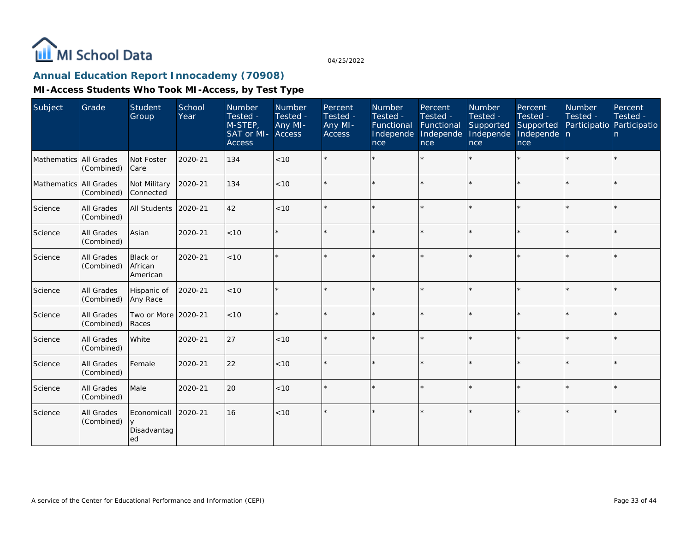

# **Annual Education Report Innocademy (70908)**

| Subject                | Grade                    | <b>Student</b><br>Group                | School<br>Year | Number<br>Tested -<br>M-STEP,<br>SAT or MI- Access<br><b>Access</b> | Number<br>Tested -<br>Any MI- | Percent<br>Tested -<br>Any MI-<br><b>Access</b> | Number<br>Tested -<br>Functional Functional<br>Independe<br>nce | Percent<br>Tested -<br>Independe<br>nce | Number<br>Tested -<br>Supported<br>Independe<br>nce | Percent<br>Tested -<br>Supported<br>Independe n<br>nce | Number<br>Tested - | Percent<br>Tested -<br>Participatio Participatio<br>$\mathsf{n}$ |
|------------------------|--------------------------|----------------------------------------|----------------|---------------------------------------------------------------------|-------------------------------|-------------------------------------------------|-----------------------------------------------------------------|-----------------------------------------|-----------------------------------------------------|--------------------------------------------------------|--------------------|------------------------------------------------------------------|
| Mathematics All Grades | (Combined)               | Not Foster<br>Care                     | 2020-21        | 134                                                                 | < 10                          |                                                 |                                                                 | $\star$                                 | ÷.                                                  | $\star$                                                | $\star$            |                                                                  |
| Mathematics All Grades | (Combined)               | Not Military<br>Connected              | 2020-21        | 134                                                                 | < 10                          |                                                 |                                                                 | $\star$                                 |                                                     | $\star$                                                |                    |                                                                  |
| Science                | All Grades<br>(Combined) | All Students                           | 2020-21        | 42                                                                  | < 10                          |                                                 |                                                                 |                                         |                                                     | $\star$                                                |                    |                                                                  |
| Science                | All Grades<br>(Combined) | Asian                                  | 2020-21        | $<10$                                                               |                               |                                                 | $\star$                                                         | $\star$                                 |                                                     | $\star$                                                | $\star$            |                                                                  |
| Science                | All Grades<br>(Combined) | <b>Black or</b><br>African<br>American | 2020-21        | $<10$                                                               |                               |                                                 |                                                                 | $\star$                                 |                                                     | $\star$                                                | $\star$            |                                                                  |
| Science                | All Grades<br>(Combined) | Hispanic of<br>Any Race                | 2020-21        | $<10$                                                               |                               |                                                 |                                                                 |                                         |                                                     | $\star$                                                |                    |                                                                  |
| Science                | All Grades<br>(Combined) | Two or More<br>Races                   | 2020-21        | < 10                                                                |                               |                                                 |                                                                 | $\ddot{\phantom{0}}$                    |                                                     | $\star$                                                | $\star$            | $\star$                                                          |
| Science                | All Grades<br>(Combined) | White                                  | 2020-21        | 27                                                                  | $<10$                         | $\star$                                         | $\star$                                                         |                                         |                                                     | ÷,                                                     | $\star$            |                                                                  |
| Science                | All Grades<br>(Combined) | Female                                 | 2020-21        | 22                                                                  | < 10                          |                                                 |                                                                 |                                         |                                                     | $\star$                                                |                    |                                                                  |
| Science                | All Grades<br>(Combined) | Male                                   | 2020-21        | 20                                                                  | < 10                          | $\star$                                         |                                                                 | $\star$                                 |                                                     | $\star$                                                | $\star$            |                                                                  |
| Science                | All Grades<br>(Combined) | Economicall<br>Disadvantag<br>ed       | 2020-21        | 16                                                                  | < 10                          |                                                 |                                                                 |                                         |                                                     |                                                        |                    |                                                                  |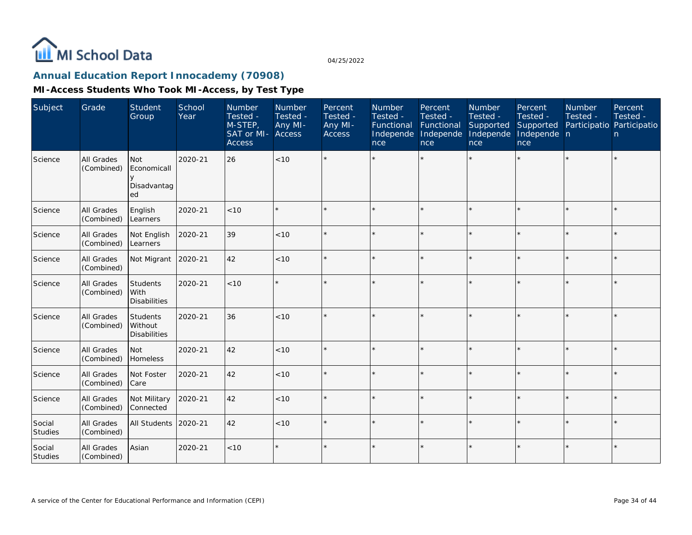

# **Annual Education Report Innocademy (70908)**

| Subject           | Grade                    | Student<br>Group                               | School<br>Year | Number<br>Tested -<br>M-STEP,<br>SAT or MI-<br><b>Access</b> | Number<br>Tested -<br>Any MI-<br>Access | Percent<br>Tested -<br>Any MI-<br><b>Access</b> | Number<br>Tested -<br>Functional<br>Independe<br>nce | Percent<br>Tested -<br>Functional<br>Independe<br>nce | Number<br>Tested -<br>Supported<br>Independe<br>nce | Percent<br>Tested -<br>Supported<br>Independe n<br>nce | Number<br>Tested - | Percent<br>Tested -<br>Participatio Participatio<br>$\mathsf{n}$ |
|-------------------|--------------------------|------------------------------------------------|----------------|--------------------------------------------------------------|-----------------------------------------|-------------------------------------------------|------------------------------------------------------|-------------------------------------------------------|-----------------------------------------------------|--------------------------------------------------------|--------------------|------------------------------------------------------------------|
| Science           | All Grades<br>(Combined) | <b>Not</b><br>Economicall<br>Disadvantag<br>ed | 2020-21        | 26                                                           | < 10                                    |                                                 |                                                      |                                                       |                                                     |                                                        |                    |                                                                  |
| Science           | All Grades<br>(Combined) | English<br>Learners                            | 2020-21        | < 10                                                         | $\star$                                 |                                                 |                                                      |                                                       |                                                     |                                                        |                    |                                                                  |
| Science           | All Grades<br>(Combined) | Not English<br>Learners                        | 2020-21        | 39                                                           | < 10                                    |                                                 |                                                      |                                                       |                                                     |                                                        |                    |                                                                  |
| Science           | All Grades<br>(Combined) | Not Migrant 2020-21                            |                | 42                                                           | < 10                                    |                                                 |                                                      |                                                       |                                                     |                                                        |                    |                                                                  |
| Science           | All Grades<br>(Combined) | Students<br>With<br><b>Disabilities</b>        | 2020-21        | <10                                                          | $\star$                                 |                                                 |                                                      |                                                       |                                                     | $\star$                                                |                    |                                                                  |
| Science           | All Grades<br>(Combined) | Students<br>Without<br><b>Disabilities</b>     | 2020-21        | 36                                                           | < 10                                    |                                                 |                                                      |                                                       |                                                     |                                                        |                    |                                                                  |
| Science           | All Grades<br>(Combined) | <b>Not</b><br>Homeless                         | 2020-21        | 42                                                           | < 10                                    |                                                 |                                                      |                                                       |                                                     | $\star$                                                |                    |                                                                  |
| Science           | All Grades<br>(Combined) | Not Foster<br>Care                             | 2020-21        | 42                                                           | < 10                                    |                                                 |                                                      |                                                       |                                                     |                                                        |                    |                                                                  |
| Science           | All Grades<br>(Combined) | Not Military<br>Connected                      | 2020-21        | 42                                                           | < 10                                    |                                                 |                                                      |                                                       |                                                     | ÷                                                      |                    |                                                                  |
| Social<br>Studies | All Grades<br>(Combined) | All Students                                   | 2020-21        | 42                                                           | $<10$                                   |                                                 |                                                      |                                                       |                                                     |                                                        |                    |                                                                  |
| Social<br>Studies | All Grades<br>(Combined) | Asian                                          | 2020-21        | < 10                                                         | $\star$                                 |                                                 |                                                      |                                                       |                                                     |                                                        |                    |                                                                  |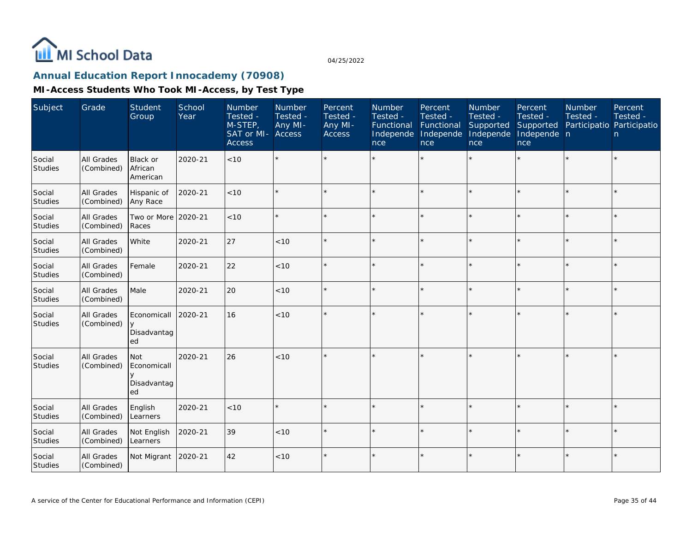

# **Annual Education Report Innocademy (70908)**

| Subject                  | Grade                           | Student<br>Group                               | School<br>Year | Number<br>Tested -<br>M-STEP,<br>SAT or MI-<br><b>Access</b> | Number<br>Tested -<br>Any MI-<br><b>Access</b> | Percent<br>Tested -<br>Any MI-<br><b>Access</b> | Number<br>Tested -<br>Functional<br>Independe<br>nce | Percent<br>Tested -<br>Functional<br>Independe<br>nce | Number<br>Tested -<br>Supported<br>Independe<br>nce | Percent<br>Tested -<br>Supported<br>Independe n<br>nce | <b>Number</b><br>Tested -<br>Participatio Participatio | Percent<br>Tested -<br>n |
|--------------------------|---------------------------------|------------------------------------------------|----------------|--------------------------------------------------------------|------------------------------------------------|-------------------------------------------------|------------------------------------------------------|-------------------------------------------------------|-----------------------------------------------------|--------------------------------------------------------|--------------------------------------------------------|--------------------------|
| Social<br><b>Studies</b> | All Grades<br>(Combined)        | <b>Black or</b><br>African<br>American         | 2020-21        | < 10                                                         | $\star$                                        |                                                 |                                                      |                                                       |                                                     | $\star$                                                |                                                        | $\star$                  |
| Social<br>Studies        | <b>All Grades</b><br>(Combined) | Hispanic of<br>Any Race                        | 2020-21        | < 10                                                         | $\star$                                        |                                                 |                                                      | $\star$                                               |                                                     |                                                        |                                                        | $\star$                  |
| Social<br>Studies        | All Grades<br>(Combined)        | Two or More 2020-21<br>Races                   |                | < 10                                                         | $\star$                                        |                                                 |                                                      | $\star$                                               |                                                     |                                                        |                                                        | $\star$                  |
| Social<br>Studies        | All Grades<br>(Combined)        | White                                          | 2020-21        | 27                                                           | < 10                                           |                                                 |                                                      | $\star$                                               |                                                     | $\star$                                                | $\star$                                                | $\star$                  |
| Social<br>Studies        | All Grades<br>(Combined)        | Female                                         | 2020-21        | 22                                                           | < 10                                           |                                                 |                                                      | $\star$                                               | ÷                                                   | $\star$                                                | $\star$                                                | $\star$                  |
| Social<br><b>Studies</b> | All Grades<br>(Combined)        | Male                                           | 2020-21        | 20                                                           | $<10$                                          |                                                 |                                                      | $\star$                                               |                                                     | $\star$                                                |                                                        | $\star$                  |
| Social<br>Studies        | All Grades<br>(Combined)        | Economicall<br>$\vee$<br>Disadvantag<br>ed     | 2020-21        | 16                                                           | < 10                                           |                                                 |                                                      | $\star$                                               |                                                     |                                                        |                                                        | $\star$                  |
| Social<br>Studies        | All Grades<br>(Combined)        | <b>Not</b><br>Economicall<br>Disadvantag<br>ed | 2020-21        | 26                                                           | < 10                                           |                                                 |                                                      |                                                       |                                                     |                                                        |                                                        | $\star$                  |
| Social<br>Studies        | All Grades<br>(Combined)        | English<br>Learners                            | 2020-21        | $<10$                                                        | $\star$                                        |                                                 |                                                      | $\star$                                               | ÷                                                   | $\star$                                                | $\star$                                                | $\star$                  |
| Social<br>Studies        | All Grades<br>(Combined)        | Not English<br>Learners                        | 2020-21        | 39                                                           | < 10                                           |                                                 |                                                      |                                                       |                                                     | $\star$                                                |                                                        | $\star$                  |
| Social<br>Studies        | All Grades<br>(Combined)        | Not Migrant                                    | 2020-21        | 42                                                           | < 10                                           |                                                 |                                                      | $\star$                                               |                                                     | $\star$                                                |                                                        | $\star$                  |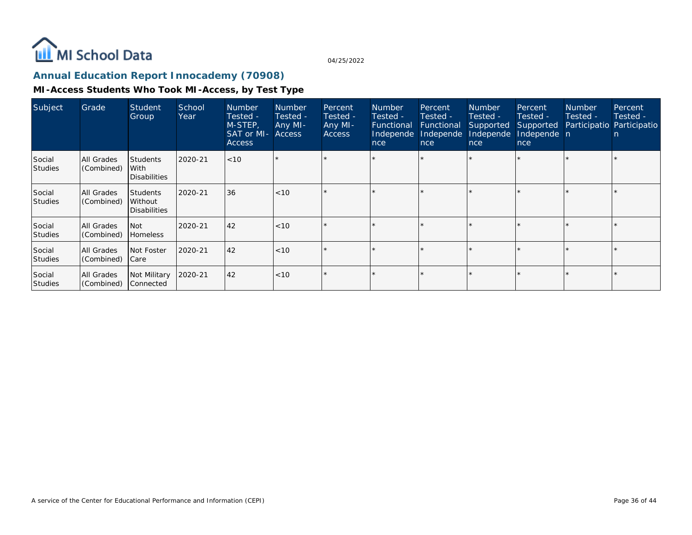

# **Annual Education Report Innocademy (70908)**

| Subject                  | Grade                           | <b>Student</b><br>Group                           | School<br>Year | <b>Number</b><br>Tested -<br>M-STEP,<br>SAT or MI- Access<br><b>Access</b> | <b>Number</b><br>Tested -<br>Any MI- | Percent<br>Tested -<br>Any MI-<br><b>Access</b> | <b>Number</b><br>Tested -<br>Functional<br>Independe<br>nce | Percent<br>Tested -<br>Functional<br>Independe<br>nce | <b>Number</b><br>Tested -<br>Supported<br>Independe<br>nce | Percent<br>Tested -<br>Supported<br>Independe n<br>nce | <b>Number</b><br>Tested -<br>Participatio Participatio | Percent,<br>Tested -<br>n |
|--------------------------|---------------------------------|---------------------------------------------------|----------------|----------------------------------------------------------------------------|--------------------------------------|-------------------------------------------------|-------------------------------------------------------------|-------------------------------------------------------|------------------------------------------------------------|--------------------------------------------------------|--------------------------------------------------------|---------------------------|
| Social<br><b>Studies</b> | All Grades<br>(Combined)        | <b>Students</b><br>With<br><b>Disabilities</b>    | 2020-21        | <10                                                                        |                                      |                                                 |                                                             |                                                       |                                                            |                                                        |                                                        |                           |
| Social<br><b>Studies</b> | All Grades<br>(Combined)        | <b>Students</b><br>Without<br><b>Disabilities</b> | 2020-21        | 36                                                                         | $ $ < 10                             |                                                 |                                                             | $\star$                                               |                                                            |                                                        |                                                        |                           |
| Social<br><b>Studies</b> | All Grades<br>(Combined)        | <b>Not</b><br><b>Homeless</b>                     | 2020-21        | 42                                                                         | $ $ < 10                             | ÷                                               |                                                             | $\star$                                               |                                                            |                                                        |                                                        |                           |
| Social<br>Studies        | <b>All Grades</b><br>(Combined) | Not Foster<br> Care                               | 2020-21        | 42                                                                         | $ $ < 10                             | $\star$                                         |                                                             | $\star$                                               |                                                            |                                                        |                                                        |                           |
| Social<br><b>Studies</b> | All Grades<br>(Combined)        | Not Military<br> Connected                        | 2020-21        | 42                                                                         | $ $ < 10                             |                                                 |                                                             | $\star$                                               |                                                            |                                                        |                                                        |                           |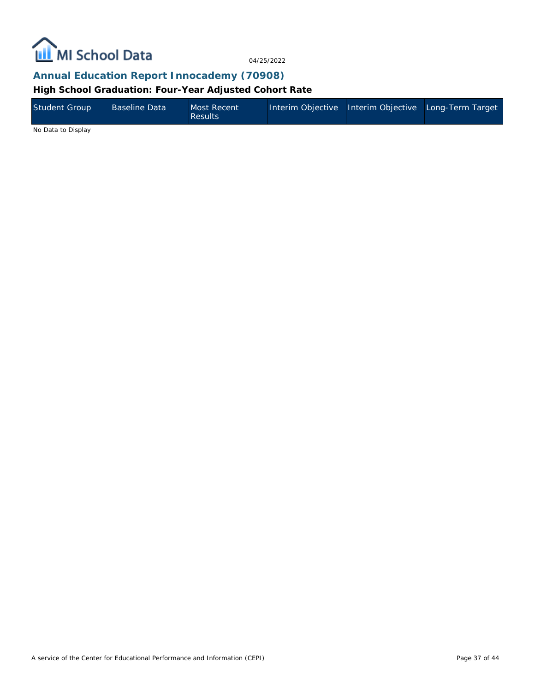

**Annual Education Report Innocademy (70908)**

**High School Graduation: Four-Year Adjusted Cohort Rate**

| Student Group | Baseline Data | Most Recent<br><b>Results</b> | Interim Objective Interim Objective Long-Term Target |  |
|---------------|---------------|-------------------------------|------------------------------------------------------|--|
|               |               |                               |                                                      |  |

No Data to Display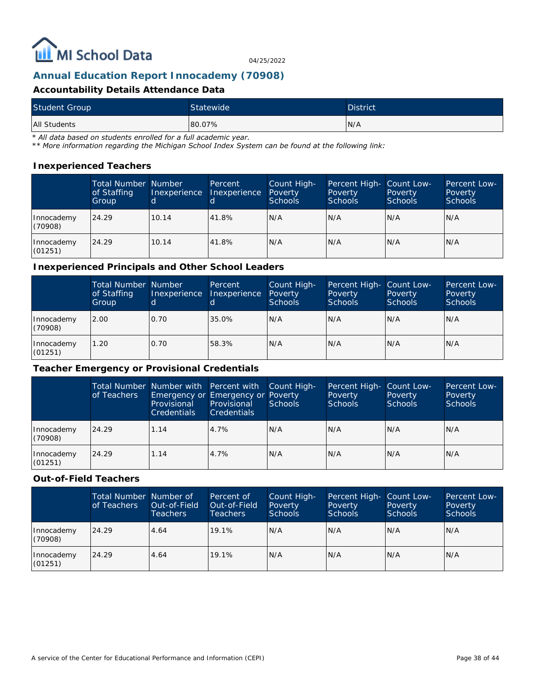

### **Annual Education Report Innocademy (70908)**

#### **Accountability Details Attendance Data**

| <b>Student Group</b> | Statewide | <b>District</b> |
|----------------------|-----------|-----------------|
| All Students         | 80.07%    | IN/A            |

*\* All data based on students enrolled for a full academic year.*

*\*\* More information regarding the Michigan School Index System can be found at the following link:*

#### **Inexperienced Teachers**

|                       | Total Number Number<br>of Staffing<br>Group | Inexperience<br>'dl | Percent<br>Inexperience | Count High-<br>Poverty<br><b>Schools</b> | Percent High- Count Low-<br>Poverty<br><b>Schools</b> | Poverty<br><b>Schools</b> | Percent Low-<br>Poverty<br><b>Schools</b> |
|-----------------------|---------------------------------------------|---------------------|-------------------------|------------------------------------------|-------------------------------------------------------|---------------------------|-------------------------------------------|
| Innocademy<br>(70908) | 24.29                                       | 10.14               | 41.8%                   | N/A                                      | N/A                                                   | IN/A                      | IN/A                                      |
| Innocademy<br>(01251) | 24.29                                       | 10.14               | 41.8%                   | N/A                                      | N/A                                                   | IN/A                      | IN/A                                      |

#### **Inexperienced Principals and Other School Leaders**

|                       | <b>Total Number Number</b><br>of Staffing<br>Group | Inexperience<br>d | Percent<br>Inexperience | Count High-<br>Poverty<br><b>Schools</b> | Percent High- Count Low-<br>Poverty<br><b>Schools</b> | Poverty<br><b>Schools</b> | <b>Percent Low-</b><br>Poverty<br><b>Schools</b> |
|-----------------------|----------------------------------------------------|-------------------|-------------------------|------------------------------------------|-------------------------------------------------------|---------------------------|--------------------------------------------------|
| Innocademy<br>(70908) | 2.00                                               | 0.70              | 35.0%                   | IN/A                                     | N/A                                                   | N/A                       | IN/A                                             |
| Innocademy<br>(01251) | 1.20                                               | 0.70              | 58.3%                   | N/A                                      | N/A                                                   | N/A                       | N/A                                              |

#### **Teacher Emergency or Provisional Credentials**

|                       | of Teachers | Total Number Number with   Percent with<br>Provisional<br><b>Credentials</b> | Emergency or Emergency or Poverty<br>Provisional<br><b>Credentials</b> | Count High-<br>Schools | Percent High-<br>Poverty<br><b>Schools</b> | Count Low-<br>Poverty<br>Schools | Percent Low-<br>Poverty<br><b>Schools</b> |
|-----------------------|-------------|------------------------------------------------------------------------------|------------------------------------------------------------------------|------------------------|--------------------------------------------|----------------------------------|-------------------------------------------|
| Innocademy<br>(70908) | 24.29       | 1.14                                                                         | 4.7%                                                                   | N/A                    | N/A                                        | N/A                              | IN/A                                      |
| Innocademy<br>(01251) | 24.29       | 1.14                                                                         | 4.7%                                                                   | N/A                    | N/A                                        | N/A                              | IN/A                                      |

#### **Out-of-Field Teachers**

|                       | Total Number Number of<br>of Teachers | Out-of-Field<br><b>Teachers</b> | Percent of<br>Out-of-Field<br><b>Teachers</b> | Count High-<br>Poverty<br>Schools | Percent High- Count Low-<br>Poverty<br><b>Schools</b> | Poverty<br><b>Schools</b> | <b>Percent Low-</b><br>Poverty<br><b>Schools</b> |
|-----------------------|---------------------------------------|---------------------------------|-----------------------------------------------|-----------------------------------|-------------------------------------------------------|---------------------------|--------------------------------------------------|
| Innocademy<br>(70908) | 24.29                                 | 4.64                            | 19.1%                                         | IN/A                              | N/A                                                   | N/A                       | N/A                                              |
| Innocademy<br>(01251) | 24.29                                 | 4.64                            | 19.1%                                         | IN/A                              | N/A                                                   | N/A                       | IN/A                                             |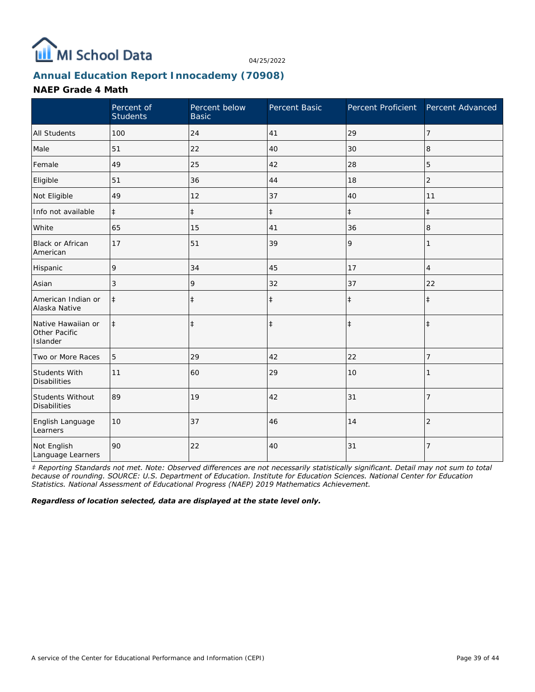

# **Annual Education Report Innocademy (70908)**

#### **NAEP Grade 4 Math**

|                                                 | Percent of<br><b>Students</b> | Percent below<br><b>Basic</b> | Percent Basic | Percent Proficient Percent Advanced |                |
|-------------------------------------------------|-------------------------------|-------------------------------|---------------|-------------------------------------|----------------|
| <b>All Students</b>                             | 100                           | 24                            | 41            | 29                                  | $\overline{7}$ |
| Male                                            | 51                            | 22                            | 40            | 30                                  | 8              |
| Female                                          | 49                            | 25                            | 42            | 28                                  | 5              |
| Eligible                                        | 51                            | 36                            | 44            | 18                                  | $\overline{2}$ |
| Not Eligible                                    | 49                            | 12                            | 37            | 40                                  | 11             |
| Info not available                              | $\ddagger$                    | $\ddagger$                    | $\ddagger$    | $\ddagger$                          | $\ddagger$     |
| White                                           | 65                            | 15                            | 41            | 36                                  | 8              |
| Black or African<br>American                    | 17                            | 51                            | 39            | 9                                   | 1              |
| Hispanic                                        | 9                             | 34                            | 45            | 17                                  | $\overline{4}$ |
| Asian                                           | 3                             | 9                             | 32            | 37                                  | 22             |
| American Indian or<br>Alaska Native             | $\ddagger$                    | $\ddagger$                    | $\ddagger$    | $\ddagger$                          | $\ddagger$     |
| Native Hawaiian or<br>Other Pacific<br>Islander | $\ddagger$                    | $\ddagger$                    | $\ddagger$    | $\ddagger$                          | $\ddagger$     |
| Two or More Races                               | 5                             | 29                            | 42            | 22                                  | $\overline{7}$ |
| Students With<br><b>Disabilities</b>            | 11                            | 60                            | 29            | 10                                  |                |
| Students Without<br><b>Disabilities</b>         | 89                            | 19                            | 42            | 31                                  | $\overline{7}$ |
| English Language<br>Learners                    | 10                            | 37                            | 46            | 14                                  | $\overline{2}$ |
| Not English<br>Language Learners                | 90                            | 22                            | 40            | 31                                  | 7              |

*‡ Reporting Standards not met. Note: Observed differences are not necessarily statistically significant. Detail may not sum to total because of rounding. SOURCE: U.S. Department of Education. Institute for Education Sciences. National Center for Education Statistics. National Assessment of Educational Progress (NAEP) 2019 Mathematics Achievement.*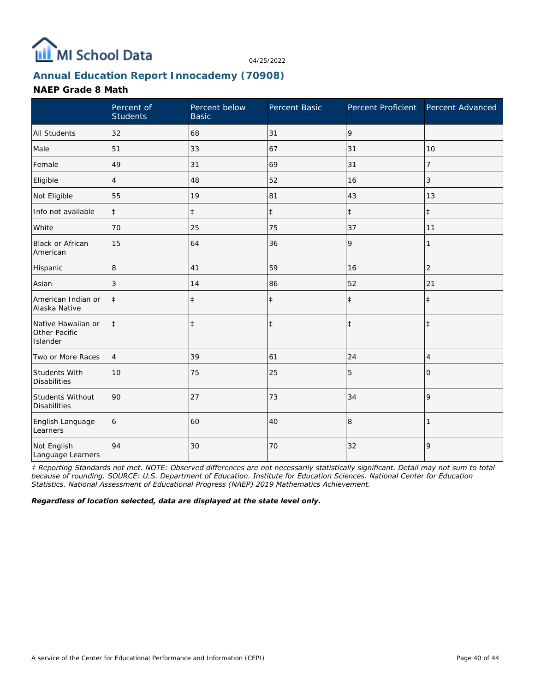

# **Annual Education Report Innocademy (70908)**

#### **NAEP Grade 8 Math**

|                                                 | Percent of<br><b>Students</b> | Percent below<br><b>Basic</b> | Percent Basic | Percent Proficient Percent Advanced |                |
|-------------------------------------------------|-------------------------------|-------------------------------|---------------|-------------------------------------|----------------|
| <b>All Students</b>                             | 32                            | 68                            | 31            | 9                                   |                |
| Male                                            | 51                            | 33                            | 67            | 31                                  | 10             |
| Female                                          | 49                            | 31                            | 69            | 31                                  | 7              |
| Eligible                                        | $\overline{4}$                | 48                            | 52            | 16                                  | 3              |
| Not Eligible                                    | 55                            | 19                            | 81            | 43                                  | 13             |
| Info not available                              | $\ddagger$                    | $\ddagger$                    | $\ddagger$    | $\ddagger$                          | $\ddagger$     |
| White                                           | 70                            | 25                            | 75            | 37                                  | 11             |
| <b>Black or African</b><br>American             | 15                            | 64                            | 36            | 9                                   | 1              |
| Hispanic                                        | 8                             | 41                            | 59            | 16                                  | $\overline{c}$ |
| Asian                                           | 3                             | 14                            | 86            | 52                                  | 21             |
| American Indian or<br>Alaska Native             | $\ddagger$                    | $\ddagger$                    | $\ddagger$    | $\ddagger$                          | $\ddagger$     |
| Native Hawaiian or<br>Other Pacific<br>Islander | $\ddagger$                    | $\ddagger$                    | $\ddagger$    | $\ddagger$                          | $\ddagger$     |
| Two or More Races                               | $\overline{4}$                | 39                            | 61            | 24                                  | $\overline{4}$ |
| Students With<br><b>Disabilities</b>            | 10                            | 75                            | 25            | 5                                   | $\Omega$       |
| Students Without<br><b>Disabilities</b>         | 90                            | 27                            | 73            | 34                                  | 9              |
| English Language<br>Learners                    | 6                             | 60                            | 40            | 8                                   |                |
| Not English<br>Language Learners                | 94                            | 30                            | 70            | 32                                  | 9              |

*‡ Reporting Standards not met. NOTE: Observed differences are not necessarily statistically significant. Detail may not sum to total because of rounding. SOURCE: U.S. Department of Education. Institute for Education Sciences. National Center for Education Statistics. National Assessment of Educational Progress (NAEP) 2019 Mathematics Achievement.*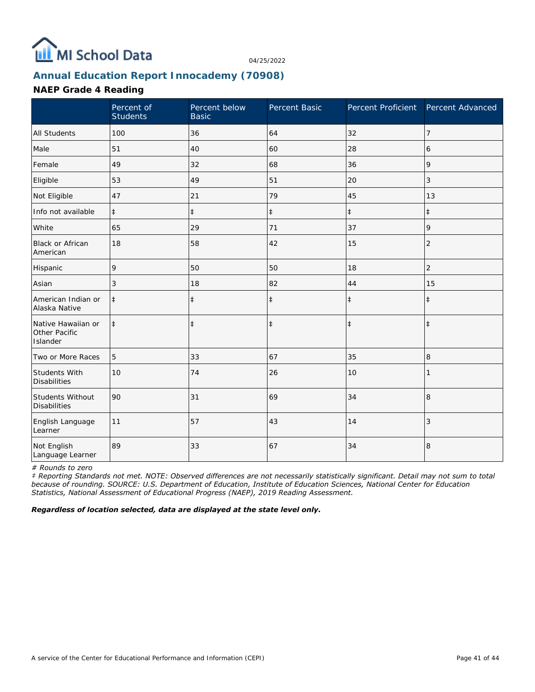

# **Annual Education Report Innocademy (70908)**

#### **NAEP Grade 4 Reading**

|                                                 | Percent of<br><b>Students</b> | Percent below<br><b>Basic</b> | Percent Basic | Percent Proficient | Percent Advanced |
|-------------------------------------------------|-------------------------------|-------------------------------|---------------|--------------------|------------------|
| <b>All Students</b>                             | 100                           | 36                            | 64            | 32                 | $\overline{7}$   |
| Male                                            | 51                            | 40                            | 60            | 28                 | 6                |
| Female                                          | 49                            | 32                            | 68            | 36                 | 9                |
| Eligible                                        | 53                            | 49                            | 51            | 20                 | 3                |
| Not Eligible                                    | 47                            | 21                            | 79            | 45                 | 13               |
| Info not available                              | $\ddagger$                    | $\ddagger$                    | $\ddagger$    | $\ddagger$         | $\ddagger$       |
| White                                           | 65                            | 29                            | 71            | 37                 | 9                |
| Black or African<br>American                    | 18                            | 58                            | 42            | 15                 | $\overline{2}$   |
| Hispanic                                        | 9                             | 50                            | 50            | 18                 | $\overline{c}$   |
| Asian                                           | 3                             | 18                            | 82            | 44                 | 15               |
| American Indian or<br>Alaska Native             | $\ddagger$                    | $\ddagger$                    | $\ddagger$    | $\ddagger$         | $\ddagger$       |
| Native Hawaiian or<br>Other Pacific<br>Islander | $\ddagger$                    | $\ddagger$                    | $\ddagger$    | $\ddagger$         | $\ddagger$       |
| Two or More Races                               | 5                             | 33                            | 67            | 35                 | 8                |
| Students With<br><b>Disabilities</b>            | 10                            | 74                            | 26            | 10                 |                  |
| Students Without<br><b>Disabilities</b>         | 90                            | 31                            | 69            | 34                 | 8                |
| English Language<br>Learner                     | 11                            | 57                            | 43            | 14                 | 3                |
| Not English<br>Language Learner                 | 89                            | 33                            | 67            | 34                 | 8                |

*# Rounds to zero*

*‡ Reporting Standards not met. NOTE: Observed differences are not necessarily statistically significant. Detail may not sum to total because of rounding. SOURCE: U.S. Department of Education, Institute of Education Sciences, National Center for Education Statistics, National Assessment of Educational Progress (NAEP), 2019 Reading Assessment.*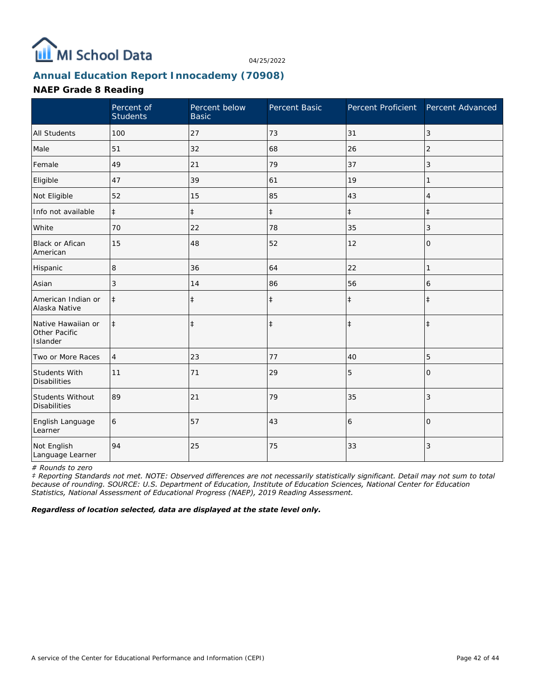

# **Annual Education Report Innocademy (70908)**

#### **NAEP Grade 8 Reading**

|                                                 | Percent of<br><b>Students</b> | Percent below<br><b>Basic</b> | Percent Basic | Percent Proficient | Percent Advanced |
|-------------------------------------------------|-------------------------------|-------------------------------|---------------|--------------------|------------------|
| <b>All Students</b>                             | 100                           | 27                            | 73            | 31                 | 3                |
| Male                                            | 51                            | 32                            | 68            | 26                 | $\overline{2}$   |
| Female                                          | 49                            | 21                            | 79            | 37                 | 3                |
| Eligible                                        | 47                            | 39                            | 61            | 19                 |                  |
| Not Eligible                                    | 52                            | 15                            | 85            | 43                 | $\overline{4}$   |
| Info not available                              | $\ddagger$                    | $\ddagger$                    | $\ddagger$    | $\ddagger$         | $\pm$            |
| White                                           | 70                            | 22                            | 78            | 35                 | 3                |
| <b>Black or Afican</b><br>American              | 15                            | 48                            | 52            | 12                 | $\circ$          |
| Hispanic                                        | 8                             | 36                            | 64            | 22                 | 1                |
| Asian                                           | 3                             | 14                            | 86            | 56                 | 6                |
| American Indian or<br>Alaska Native             | $\ddagger$                    | $\ddagger$                    | $\ddagger$    | $\ddagger$         | $\ddagger$       |
| Native Hawaiian or<br>Other Pacific<br>Islander | $\ddagger$                    | $\ddagger$                    | $\ddagger$    | $\ddagger$         | $\ddagger$       |
| Two or More Races                               | $\overline{4}$                | 23                            | 77            | 40                 | 5                |
| Students With<br><b>Disabilities</b>            | 11                            | 71                            | 29            | 5                  | $\Omega$         |
| Students Without<br><b>Disabilities</b>         | 89                            | 21                            | 79            | 35                 | 3                |
| English Language<br>Learner                     | 6                             | 57                            | 43            | 6                  | $\overline{O}$   |
| Not English<br>Language Learner                 | 94                            | 25                            | 75            | 33                 | 3                |

*# Rounds to zero*

*‡ Reporting Standards not met. NOTE: Observed differences are not necessarily statistically significant. Detail may not sum to total because of rounding. SOURCE: U.S. Department of Education, Institute of Education Sciences, National Center for Education Statistics, National Assessment of Educational Progress (NAEP), 2019 Reading Assessment.*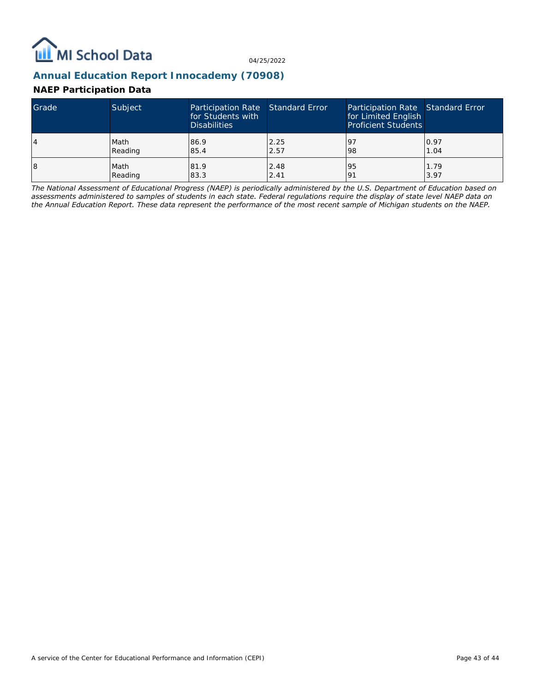

# **Annual Education Report Innocademy (70908)**

### **NAEP Participation Data**

| Grade | Subject | Participation Rate Standard Error<br>for Students with<br><b>Disabilities</b> |      | Participation Rate Standard Error<br>for Limited English<br><b>Proficient Students</b> |      |
|-------|---------|-------------------------------------------------------------------------------|------|----------------------------------------------------------------------------------------|------|
| 4     | Math    | 86.9                                                                          | 2.25 | -97                                                                                    | 0.97 |
|       | Reading | 85.4                                                                          | 2.57 | 98                                                                                     | 1.04 |
| 18    | Math    | 81.9                                                                          | 2.48 | 95                                                                                     | 1.79 |
|       | Reading | 83.3                                                                          | 2.41 | 191                                                                                    | 3.97 |

*The National Assessment of Educational Progress (NAEP) is periodically administered by the U.S. Department of Education based on assessments administered to samples of students in each state. Federal regulations require the display of state level NAEP data on the Annual Education Report. These data represent the performance of the most recent sample of Michigan students on the NAEP.*